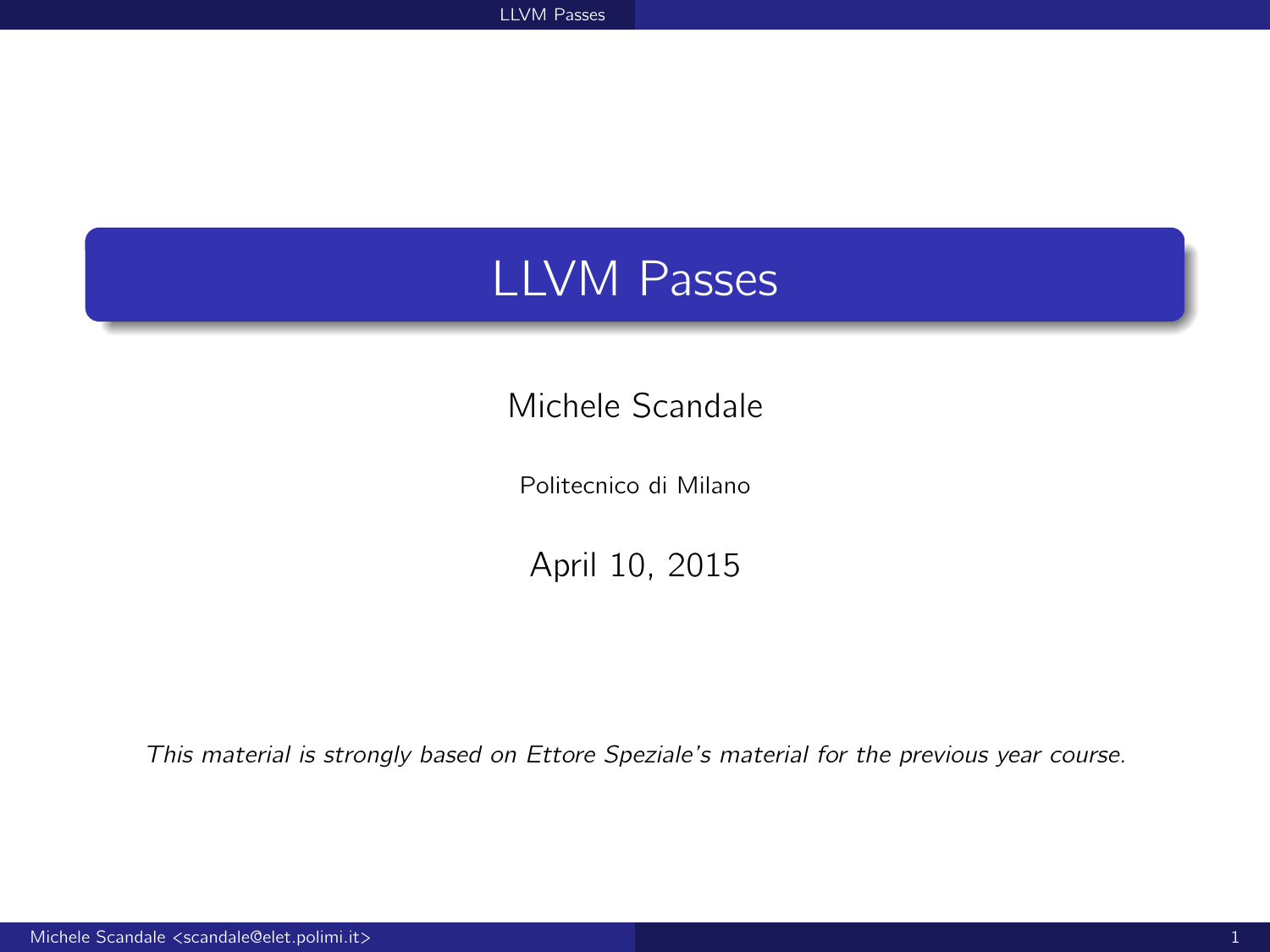# <span id="page-0-0"></span>LLVM Passes

### Michele Scandale

Politecnico di Milano

April 10, 2015

This material is strongly based on Ettore Speziale's material for the previous year course.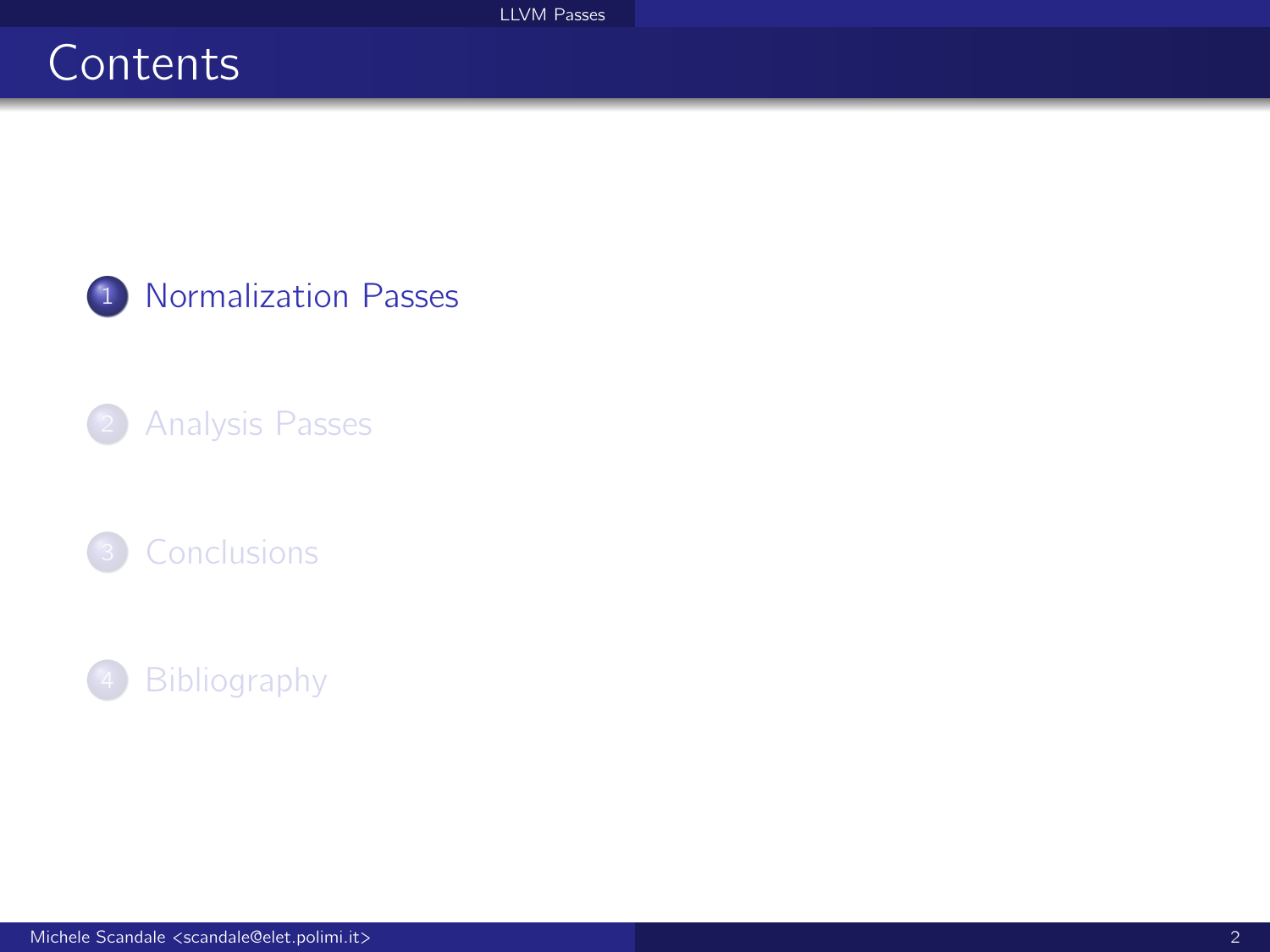# <span id="page-1-0"></span>**Contents**

1 [Normalization Passes](#page-1-0)

### 2 [Analysis Passes](#page-19-0)



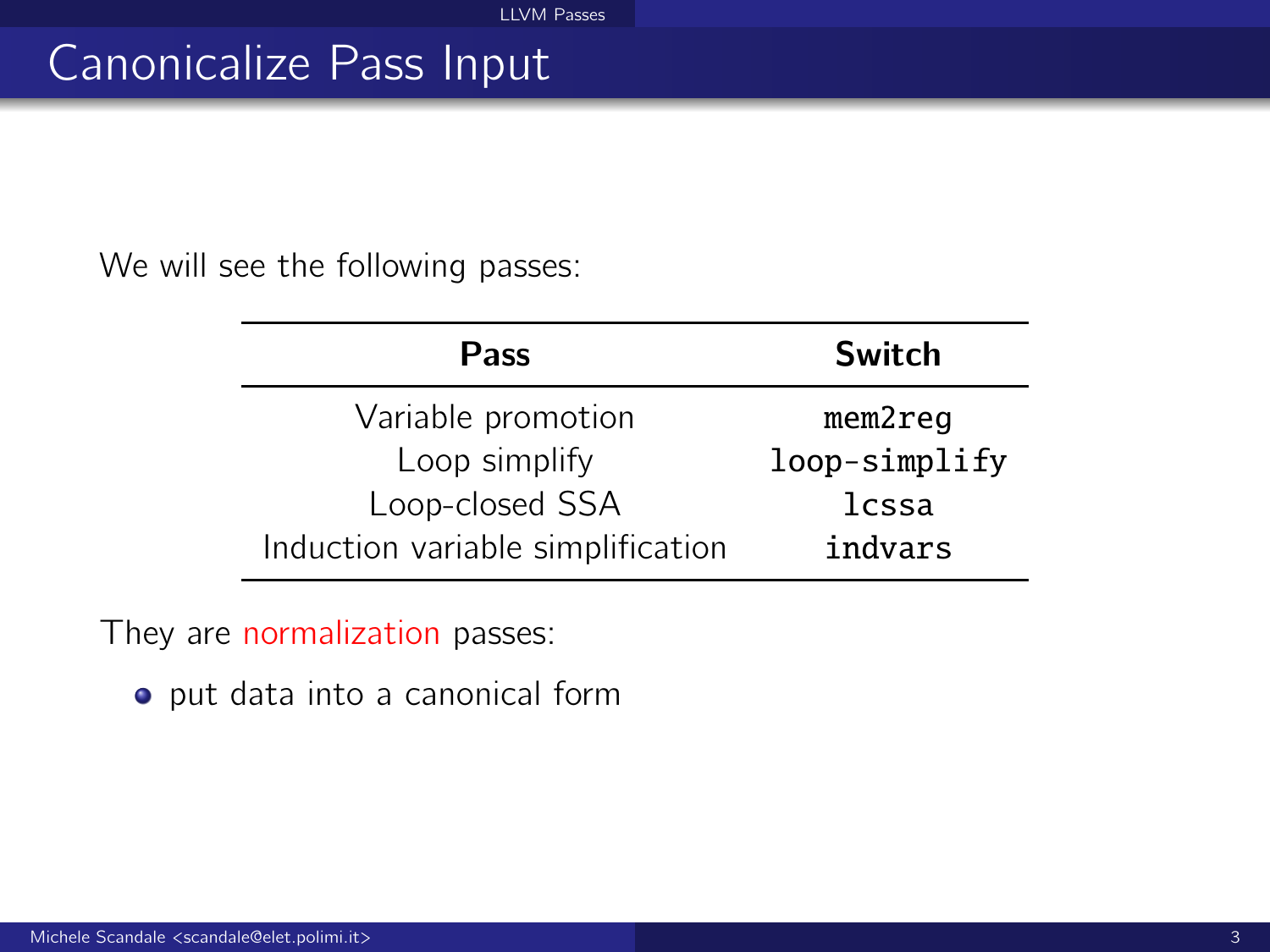# Canonicalize Pass Input

We will see the following passes:

| <b>Pass</b>                       | Switch        |  |
|-----------------------------------|---------------|--|
| Variable promotion                | mem2req       |  |
| Loop simplify                     | loop-simplify |  |
| Loop-closed SSA                   | lcssa         |  |
| Induction variable simplification | indvars       |  |

They are normalization passes:

put data into a canonical form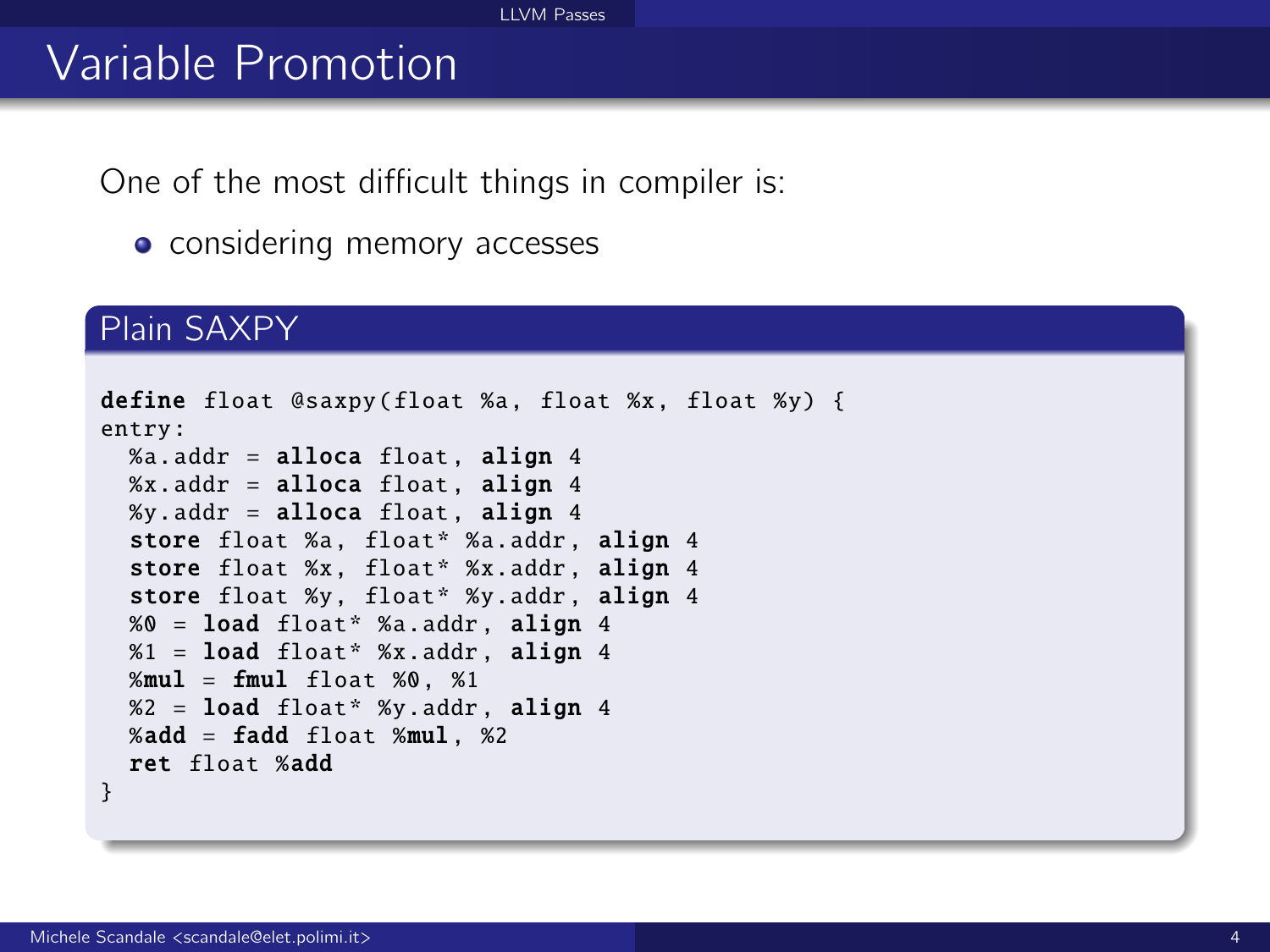#### [LLVM Passes](#page-0-0)

# Variable Promotion

One of the most difficult things in compiler is:

• considering memory accesses

#### Plain SAXPY

```
define float @saxpy(float %a, float %x, float %y) {
entry:
 %a.addr = alloca float, align 4
 %x.addr = alloca float, align 4
 %y.addr = alloca float, align 4store float %a. float* %a.addr. align 4
  store float %x, float* %x.addr, align 4
 store float %y, float* %y.addr, align 4
 %0 = load float* %a.addr , align 4
 %1 = load float* %x.addr. align 4
 %mul = fmul float %0. %1
 %2 = load float* %y.addr , align 4
 %add = fadd float %mul. %2ret float %add
}
```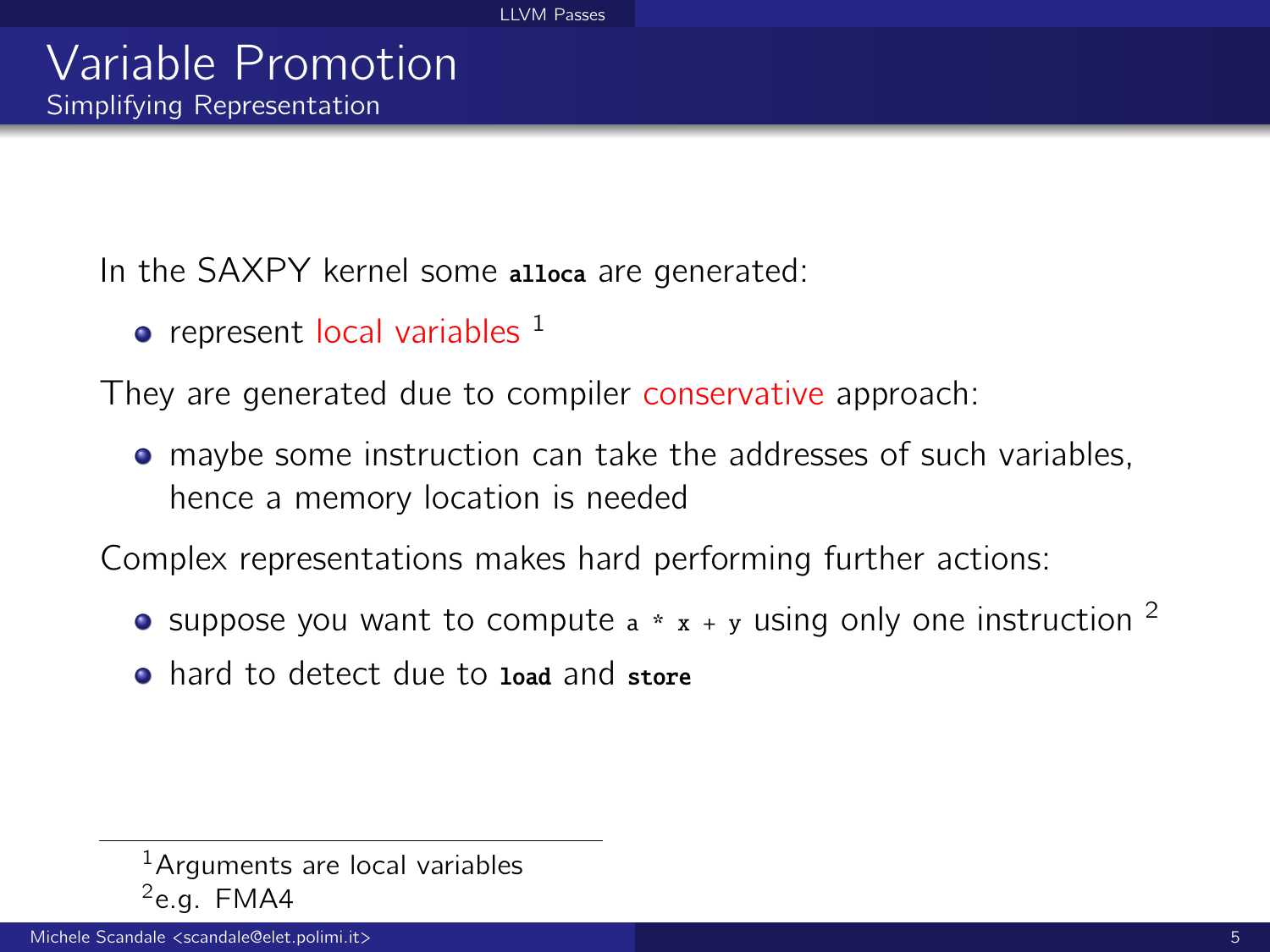In the SAXPY kernel some alloca are generated:

 $\bullet$  represent local variables  $^1$ 

They are generated due to compiler conservative approach:

maybe some instruction can take the addresses of such variables, hence a memory location is needed

Complex representations makes hard performing further actions:

- suppose you want to compute  $a * x + y$  using only one instruction <sup>2</sup>
- **o** hard to detect due to load and store

 $<sup>1</sup>$ Arguments are local variables</sup>  $2$ e.g. FMA4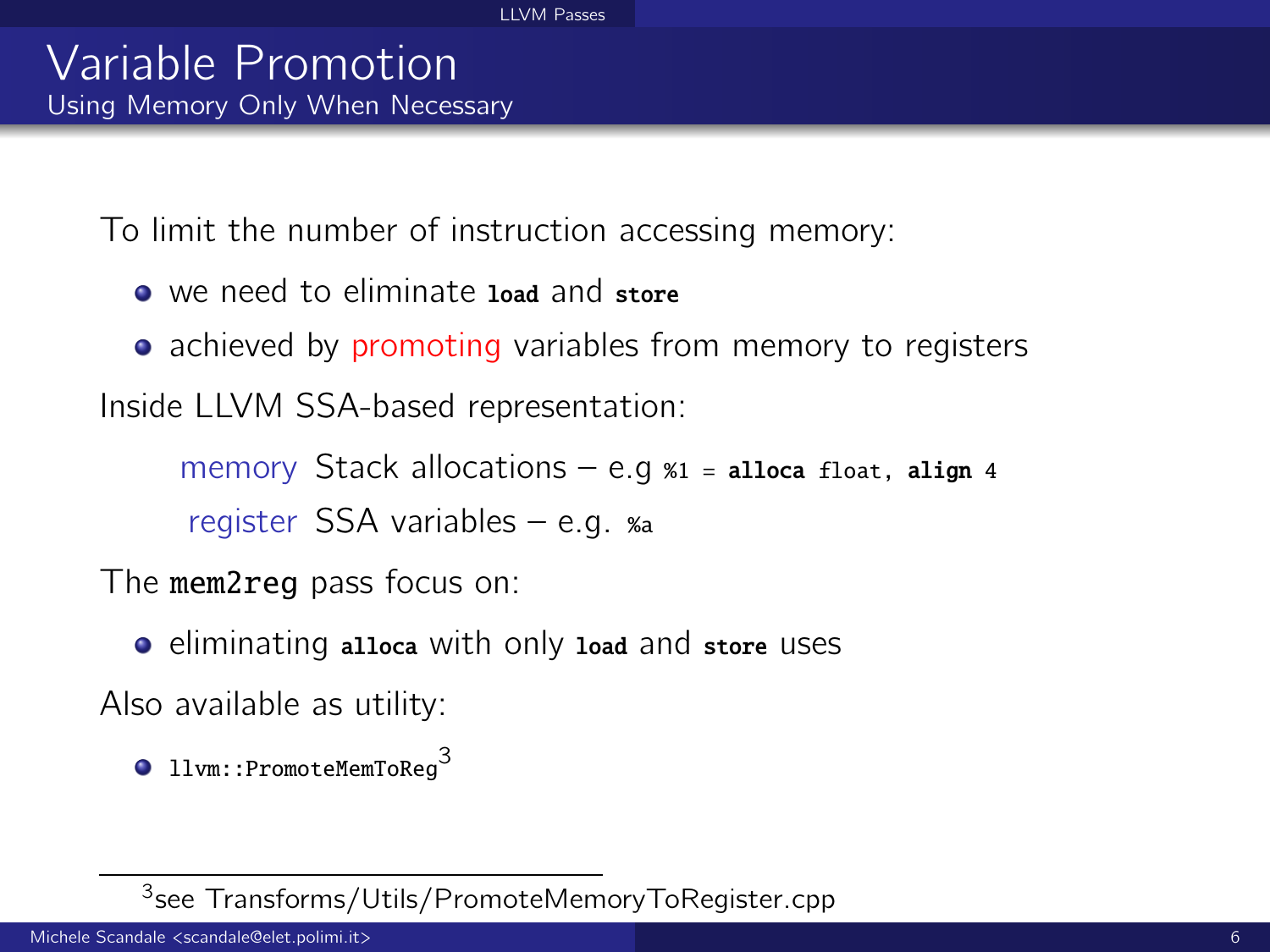To limit the number of instruction accessing memory:

- we need to eliminate load and store
- achieved by promoting variables from memory to registers

Inside LLVM SSA-based representation:

memory Stack allocations  $-$  e.g  $\alpha$ <sub>1</sub> = alloca float, align 4 register SSA variables – e.g. %a

The mem2reg pass focus on:

o eliminating alloca with only load and store uses

Also available as utility:

 $\bullet$  llvm::PromoteMemToReq<sup>3</sup>

<sup>3</sup> see Transforms/Utils/PromoteMemoryToRegister.cpp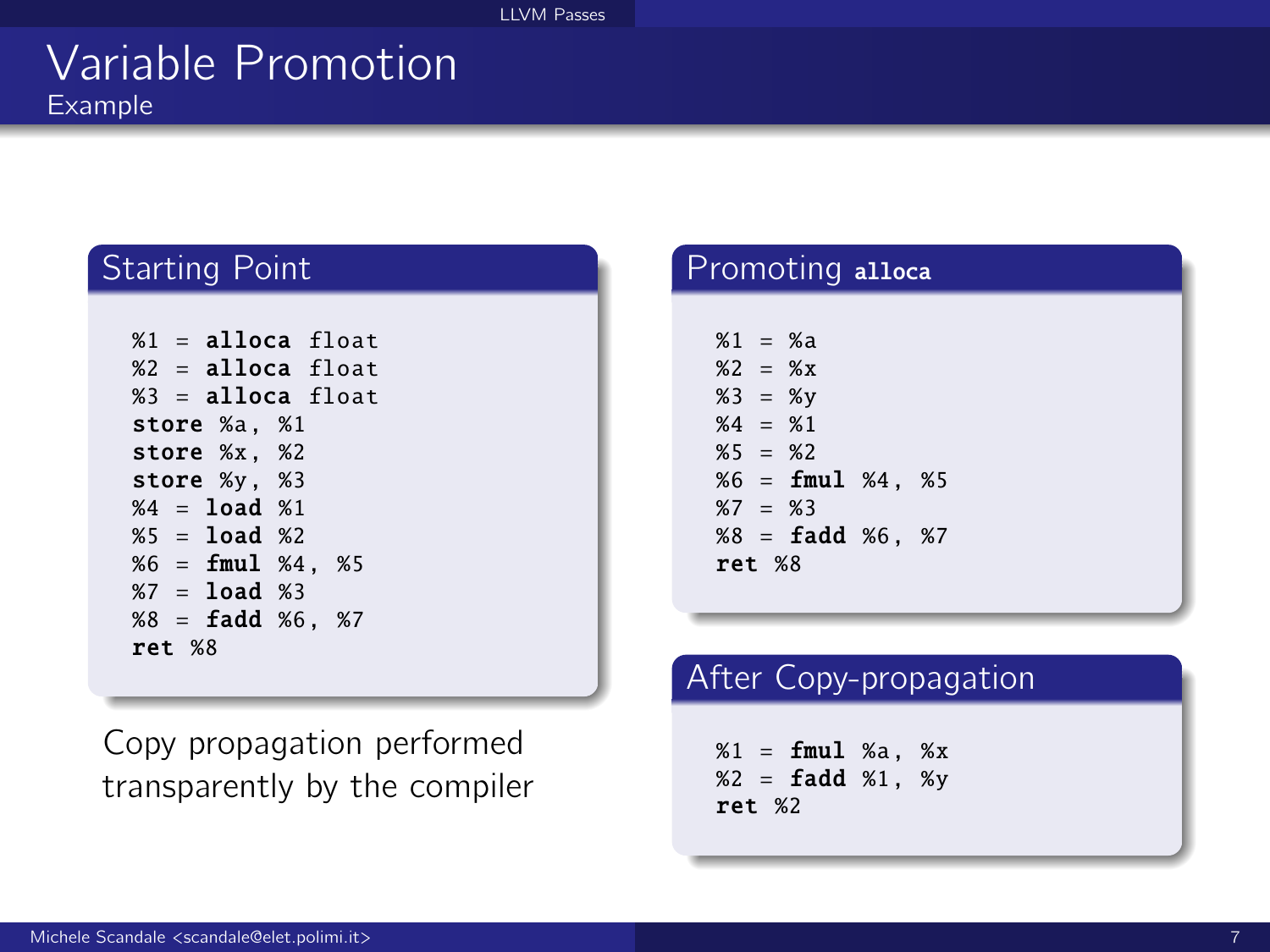### Variable Promotion Example

#### Starting Point

```
%1 = alloca float
%2 = alloca float
%3 = alloca float
store %a, %1
store %x, %2
store %y, %3
%4 = load %1%5 = 1oad %2%6 = fmul %4, %5
%7 = load %3%8 = \text{fadd } %6. %7ret %8
```
Copy propagation performed transparently by the compiler

#### Promoting alloca

```
%1 = %3%2 = %3%3 = %v%4 = %1%5 = %2%6 = fmul %4. %5%7 = %3%8 = \text{fadd } %6. %7ret %8
```
#### After Copy-propagation

 $%1 = \text{fmul } %a, %x$  $%2 =$  **fadd**  $%1.$  %v ret %2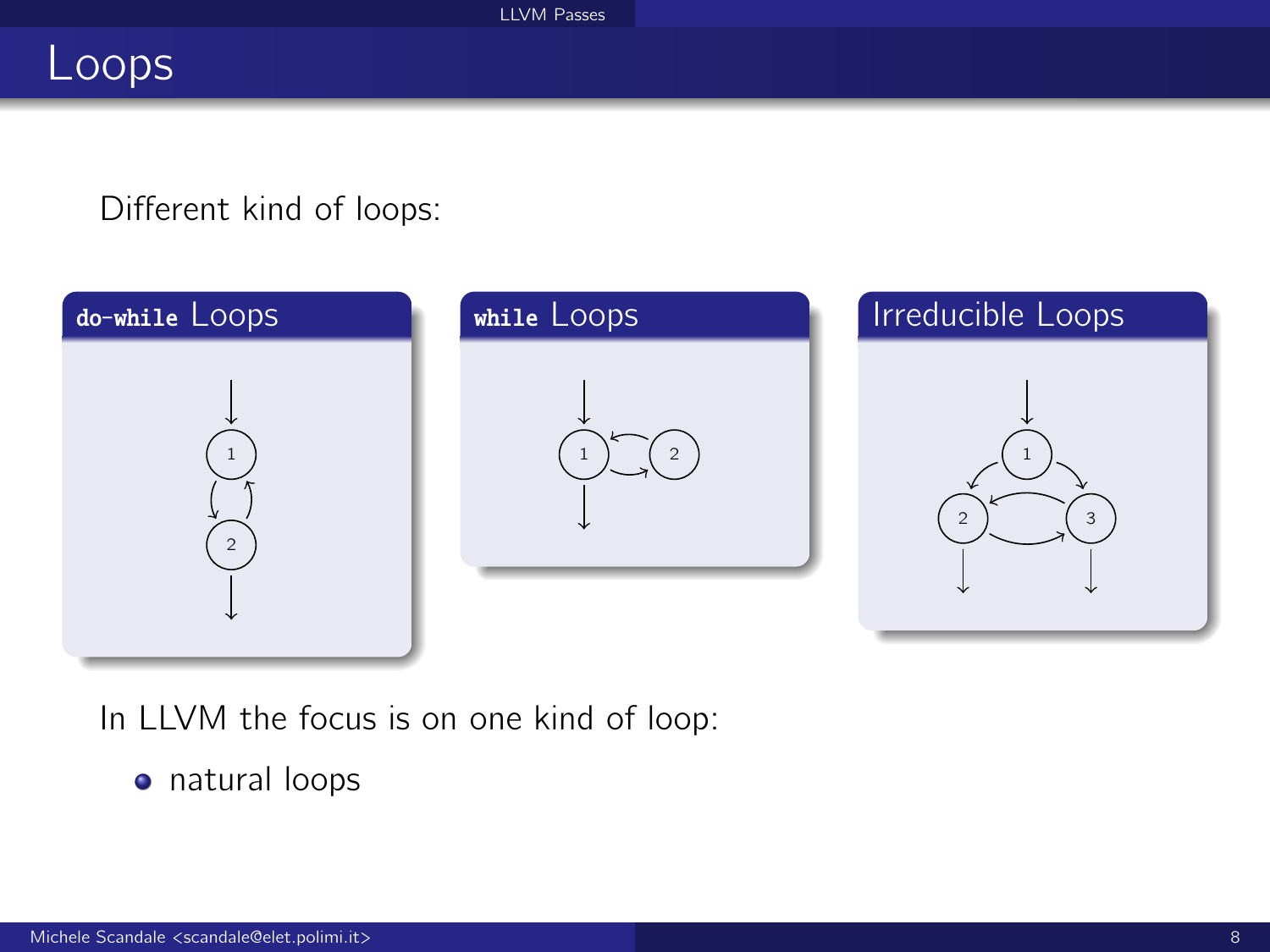## Loops

#### Different kind of loops:



In LLVM the focus is on one kind of loop:

natural loops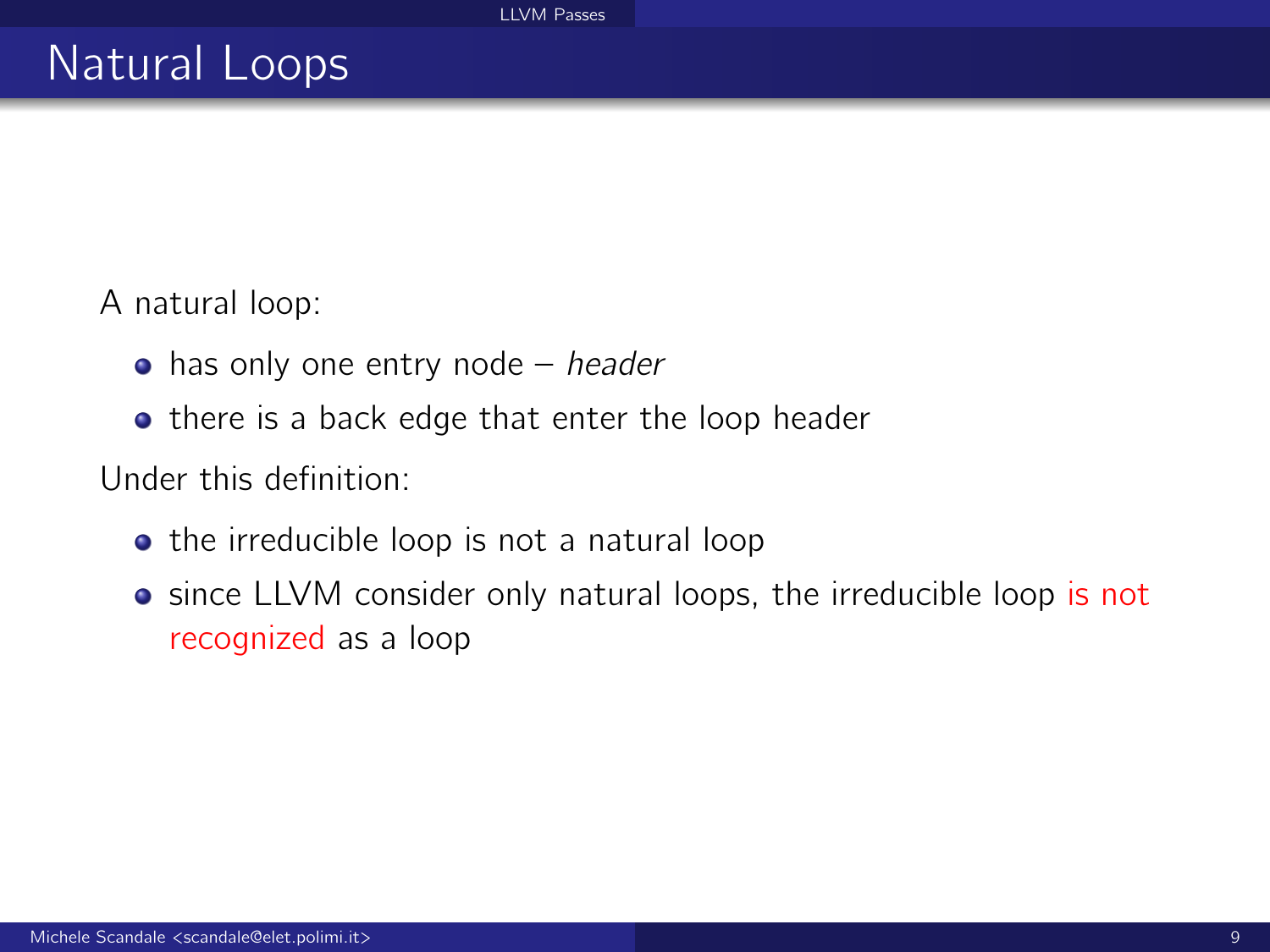A natural loop:

- $\bullet$  has only one entry node header
- there is a back edge that enter the loop header

Under this definition:

- the irreducible loop is not a natural loop
- **•** since LLVM consider only natural loops, the irreducible loop is not recognized as a loop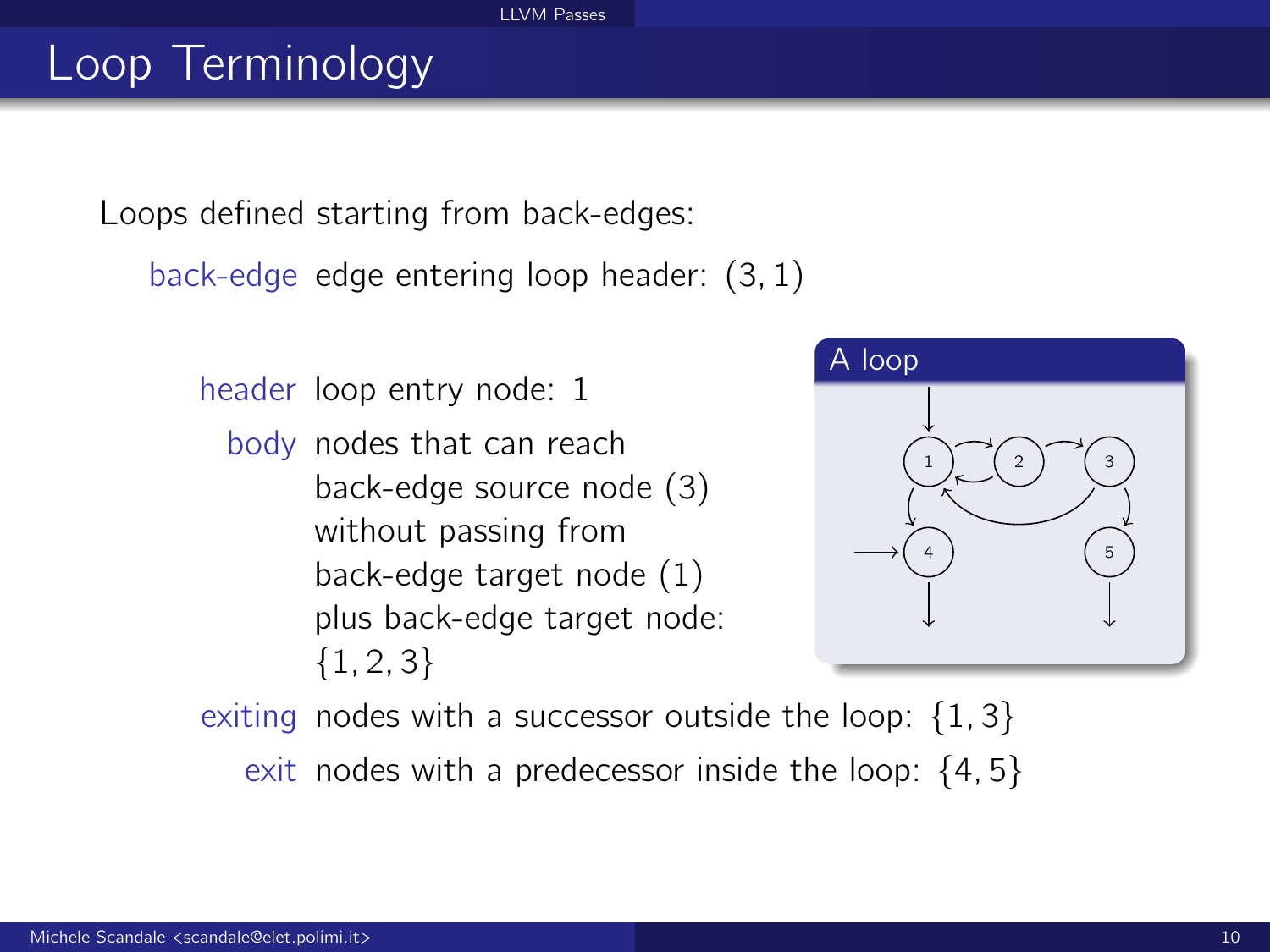#### [LLVM Passes](#page-0-0)

# Loop Terminology

Loops defined starting from back-edges:

back-edge edge entering loop header: (3, 1)

header loop entry node: 1

body nodes that can reach back-edge source node (3) without passing from back-edge target node (1) plus back-edge target node:  ${1, 2, 3}$ 



exiting nodes with a successor outside the loop:  $\{1, 3\}$ exit nodes with a predecessor inside the loop:  $\{4, 5\}$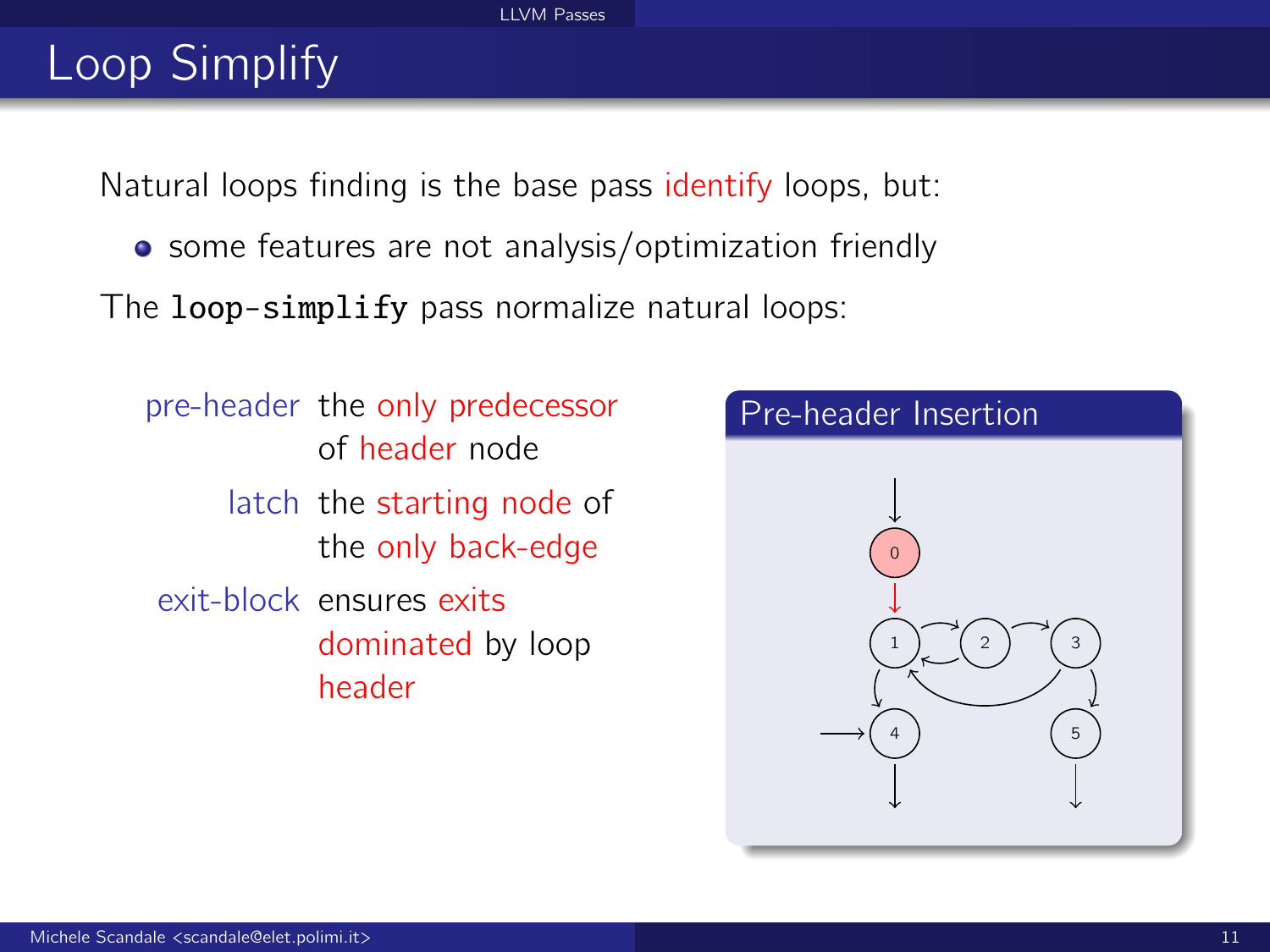#### [LLVM Passes](#page-0-0)

# Loop Simplify

Natural loops finding is the base pass identify loops, but:

• some features are not analysis/optimization friendly

The loop-simplify pass normalize natural loops:

pre-header the only predecessor of header node latch the starting node of the only back-edge exit-block ensures exits dominated by loop header

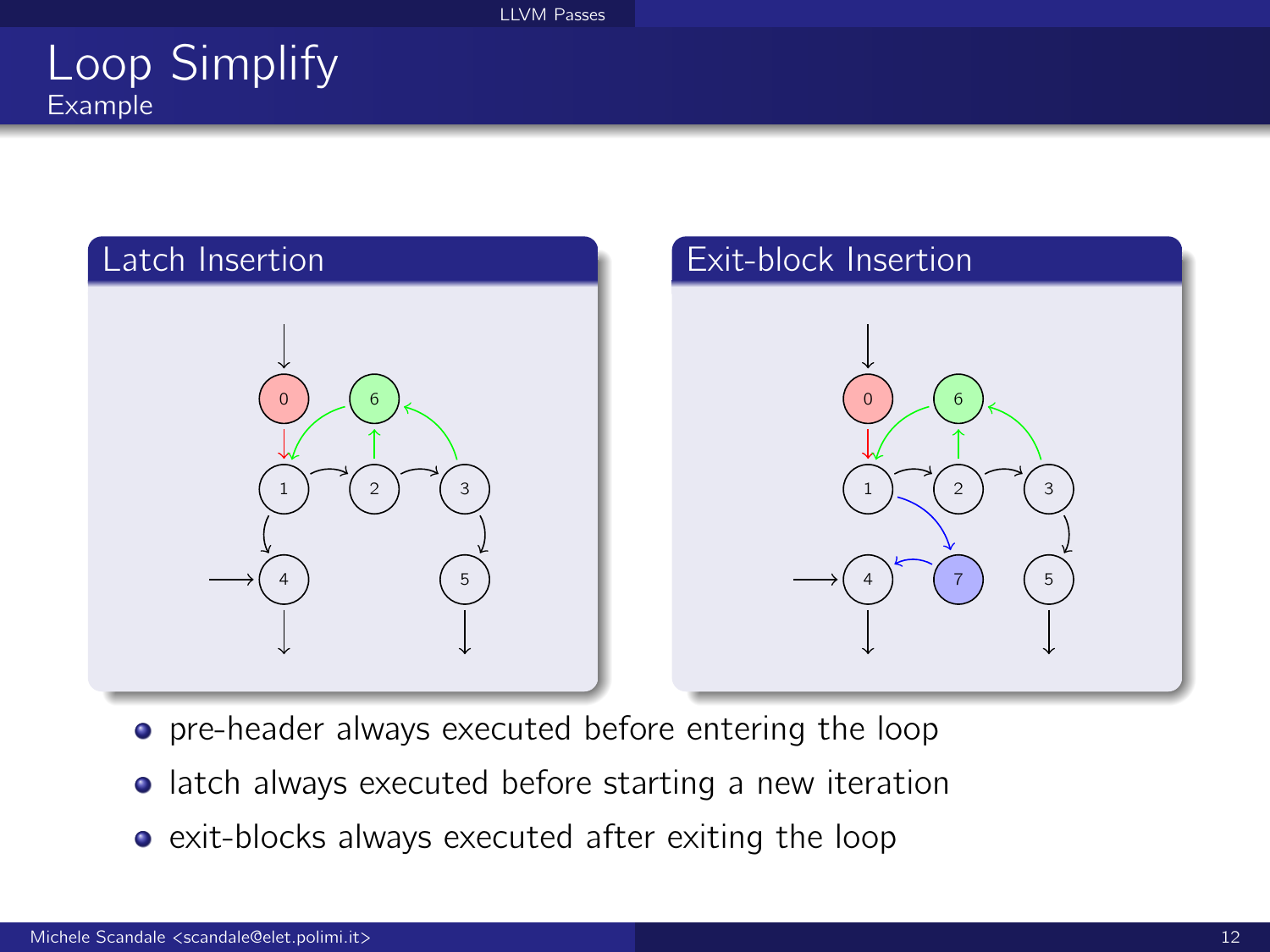### Loop Simplify Example



- **•** pre-header always executed before entering the loop
- **•** latch always executed before starting a new iteration
- exit-blocks always executed after exiting the loop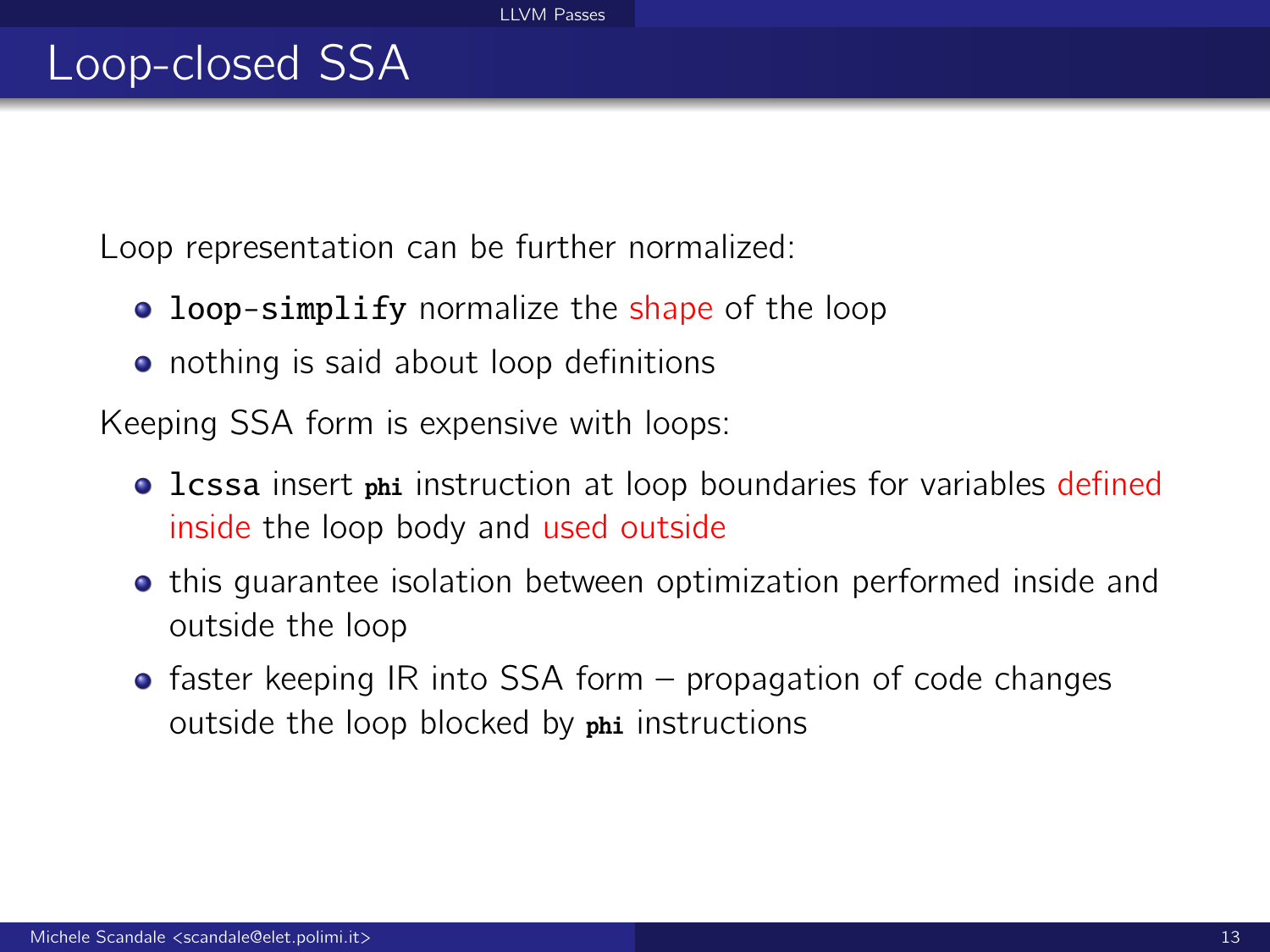Loop representation can be further normalized:

- **loop-simplify** normalize the shape of the loop
- nothing is said about loop definitions

Keeping SSA form is expensive with loops:

- **.** Lcssa insert phi instruction at loop boundaries for variables defined inside the loop body and used outside
- **•** this quarantee isolation between optimization performed inside and outside the loop
- $\bullet$  faster keeping IR into SSA form propagation of code changes outside the loop blocked by phi instructions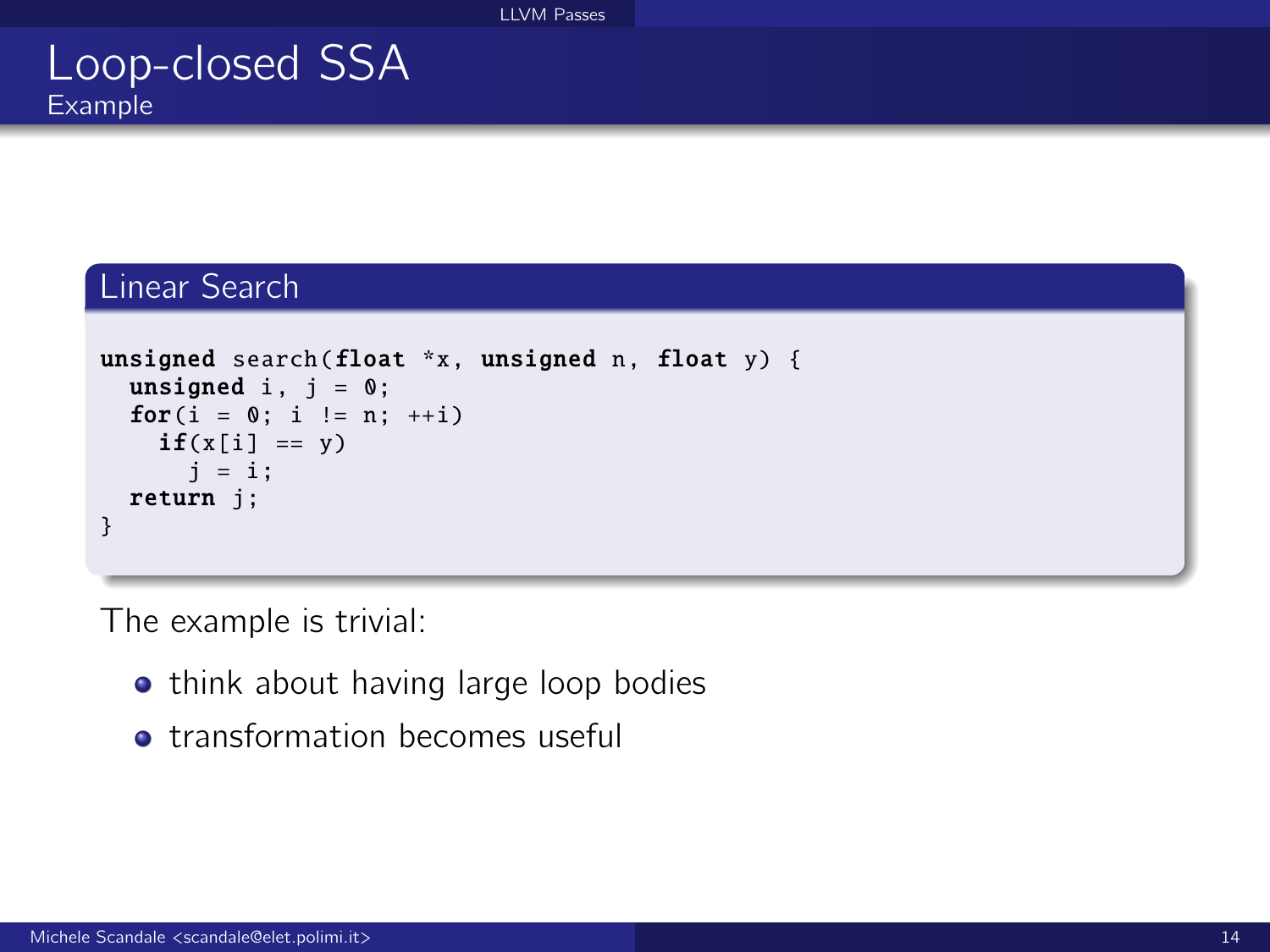### Loop-closed SSA Example

#### Linear Search

```
unsigned search(float *x, unsigned n, float y) {
  unsigned i, i = 0;
  for(i = 0; i := n; ++i)
    if(x[i] == y)i = i:
  return j;
}
```
The example is trivial:

- **•** think about having large loop bodies
- **•** transformation becomes useful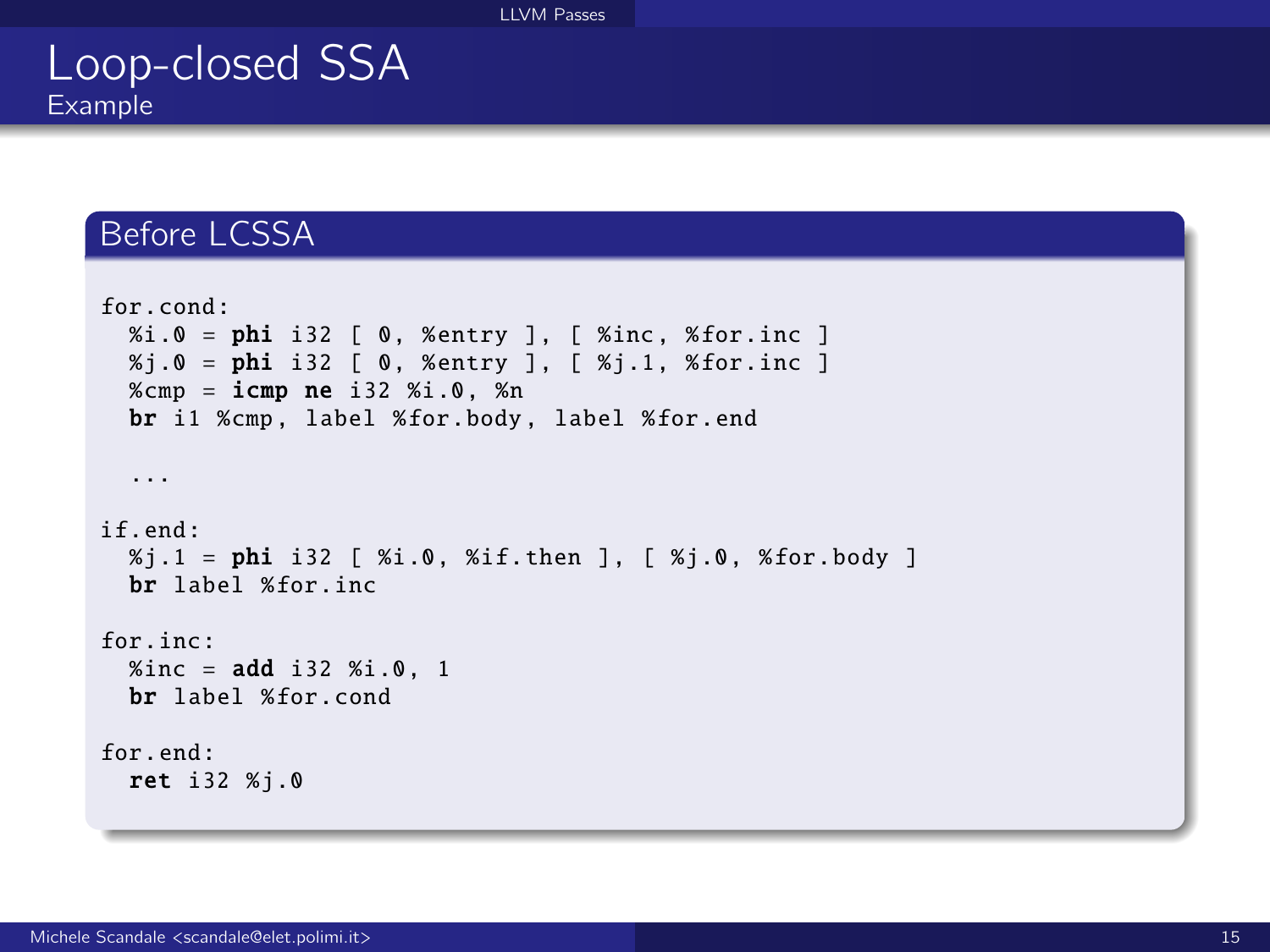#### [LLVM Passes](#page-0-0)

### Loop-closed SSA Example

#### Before LCSSA

```
for.cond:
 % i.0 = phi i32 [ 0, %entry ], [ %inc, %for.inc ]
  %j.0 = phi i32 [ 0, %entry ], [ %j.1, %for.inc ]
  %cmp = icmp ne i32 %i.0, %n
  br i1 %cmp , label %for.body , label %for.end
  ...
if.end:
  %j.1 = phi i32 [ %i.0, %if.then ], [ %j.0, %for.body ]
 br label %for.inc
for.inc:
  % and * i32 % i.0, 1
 br label %for.cond
for.end:
  ret i32 %j.0
```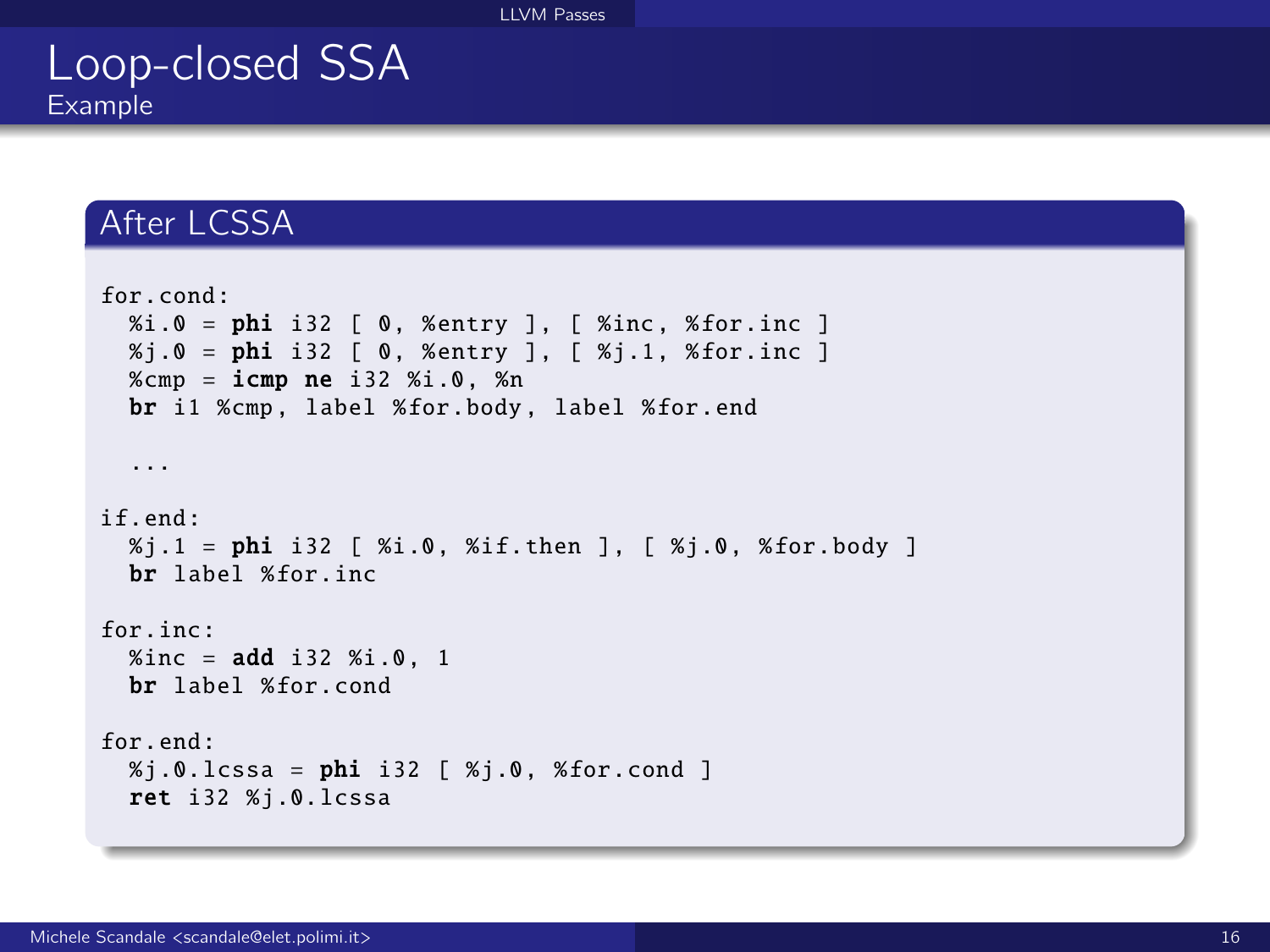#### [LLVM Passes](#page-0-0)

### Loop-closed SSA Example

### After LCSSA

```
for.cond:
  % i.0 = phi i32 [ 0, % entry ], [ % inc, % for. inc ]% i.0 = phi i32 [ 0, %entry ], [ %j.1, %for.inc ]
 %cmp = icmp ne i32 %i.0, %n
  br i1 %cmp. label %for.body. label %for.end
  ...
if.end:
  % j.1 = phi i32 [ %i.0, %if.then ], [ %j.0, %for.body ]
  br label %for.inc
for.inc:
 % inc = add i32 % i.0, 1
 br label %for.cond
for.end:
  % i.0.1cssa = phi i32 [ % i.0. %for.cond ]
  ret i32 %j.0. lcssa
```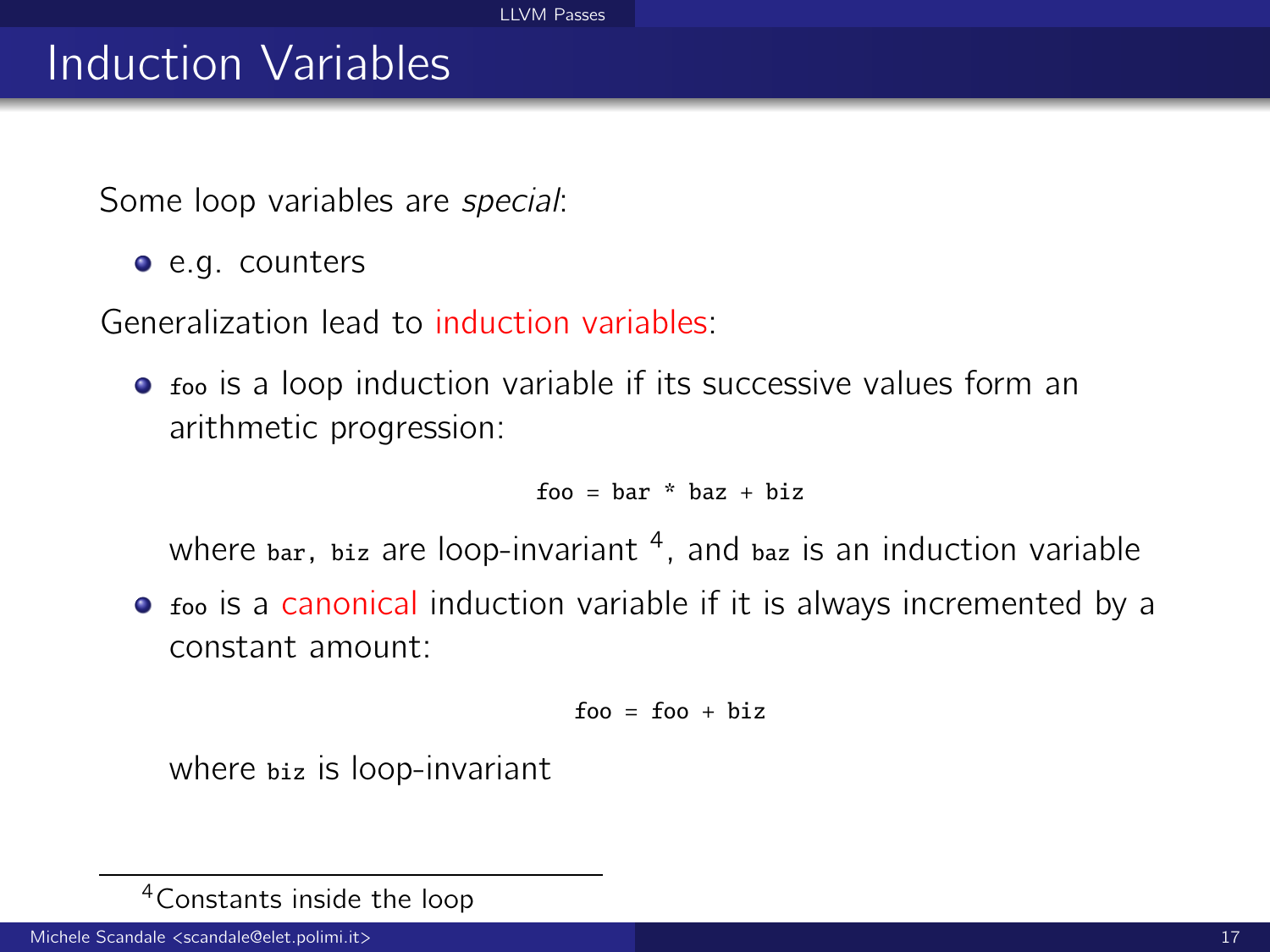# Induction Variables

Some loop variables are special:

e.g. counters

Generalization lead to induction variables:

• foo is a loop induction variable if its successive values form an arithmetic progression:

 $f_{00}$  = har \* haz + hiz

where bar, biz are loop-invariant <sup>4</sup>, and baz is an induction variable

• foo is a canonical induction variable if it is always incremented by a constant amount:

$$
foo = foo + biz
$$

where biz is loop-invariant

<sup>4</sup>Constants inside the loop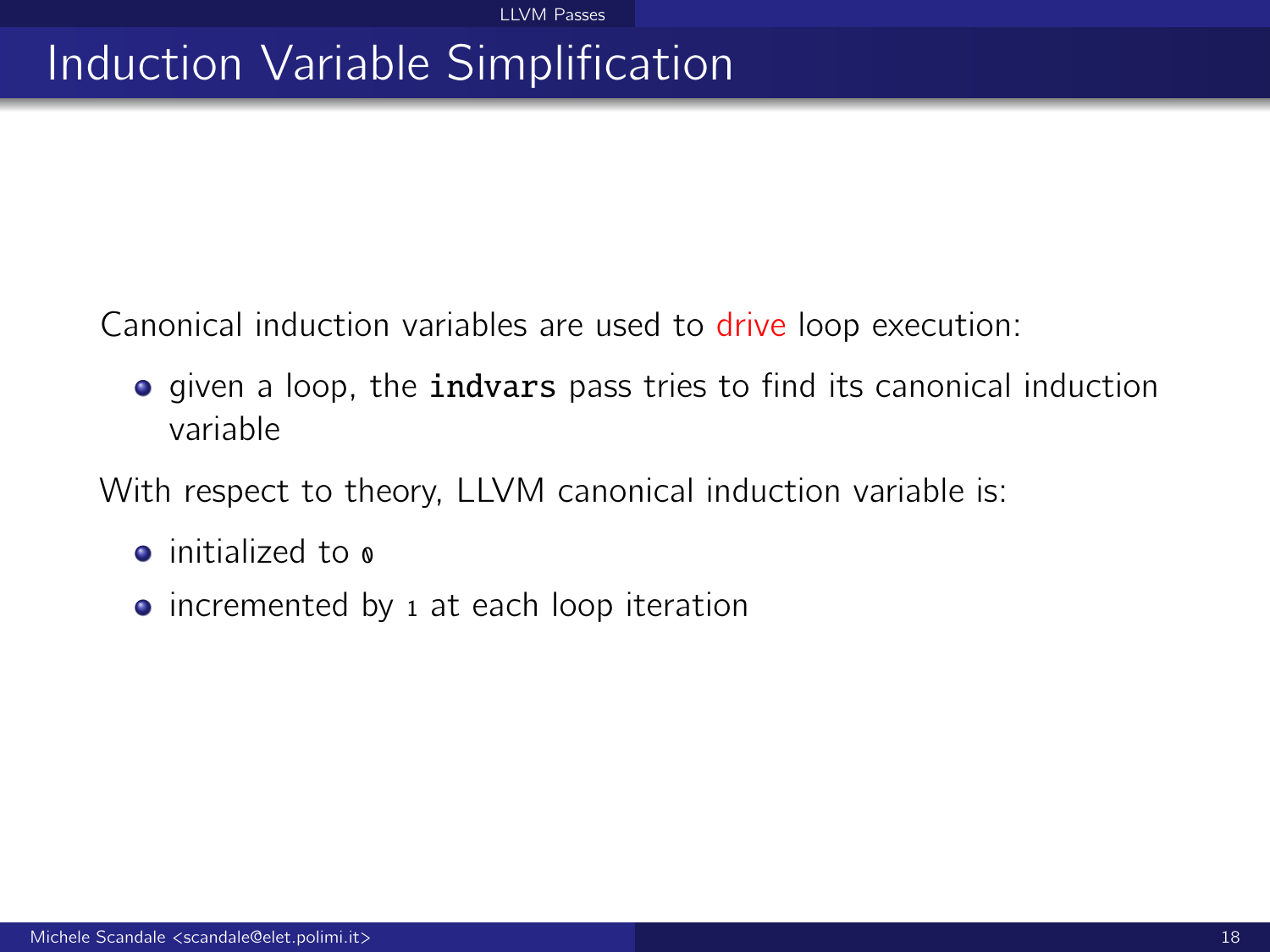# Induction Variable Simplification

Canonical induction variables are used to drive loop execution:

**•** given a loop, the **indvars** pass tries to find its canonical induction variable

With respect to theory, LLVM canonical induction variable is:

- $\bullet$  initialized to  $\circ$
- incremented by 1 at each loop iteration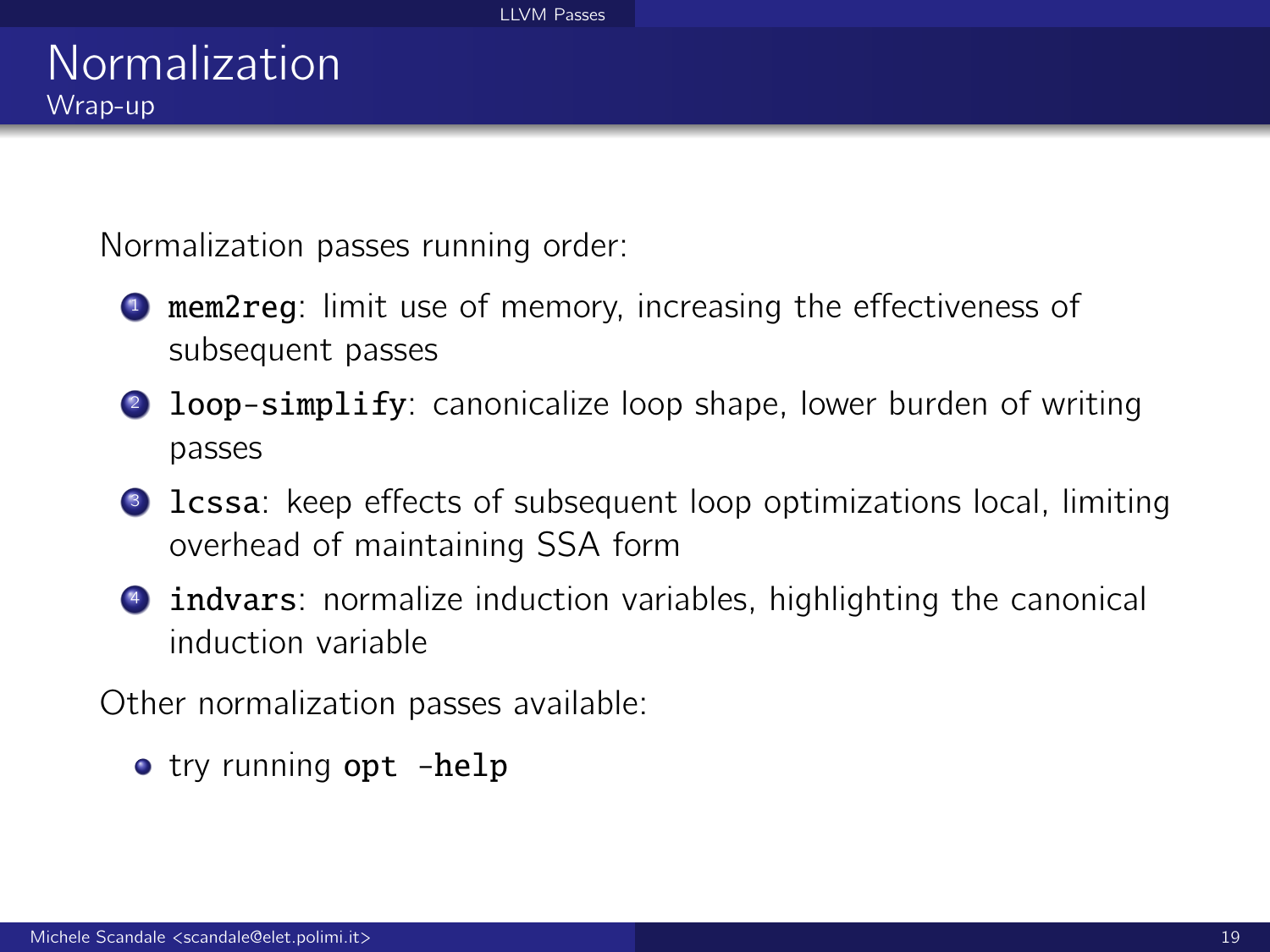Normalization passes running order:

- **1** mem2reg: limit use of memory, increasing the effectiveness of subsequent passes
- 2 loop-simplify: canonicalize loop shape, lower burden of writing passes
- **3** lcssa: keep effects of subsequent loop optimizations local, limiting overhead of maintaining SSA form
- **4** indvars: normalize induction variables, highlighting the canonical induction variable

Other normalization passes available:

• try running opt -help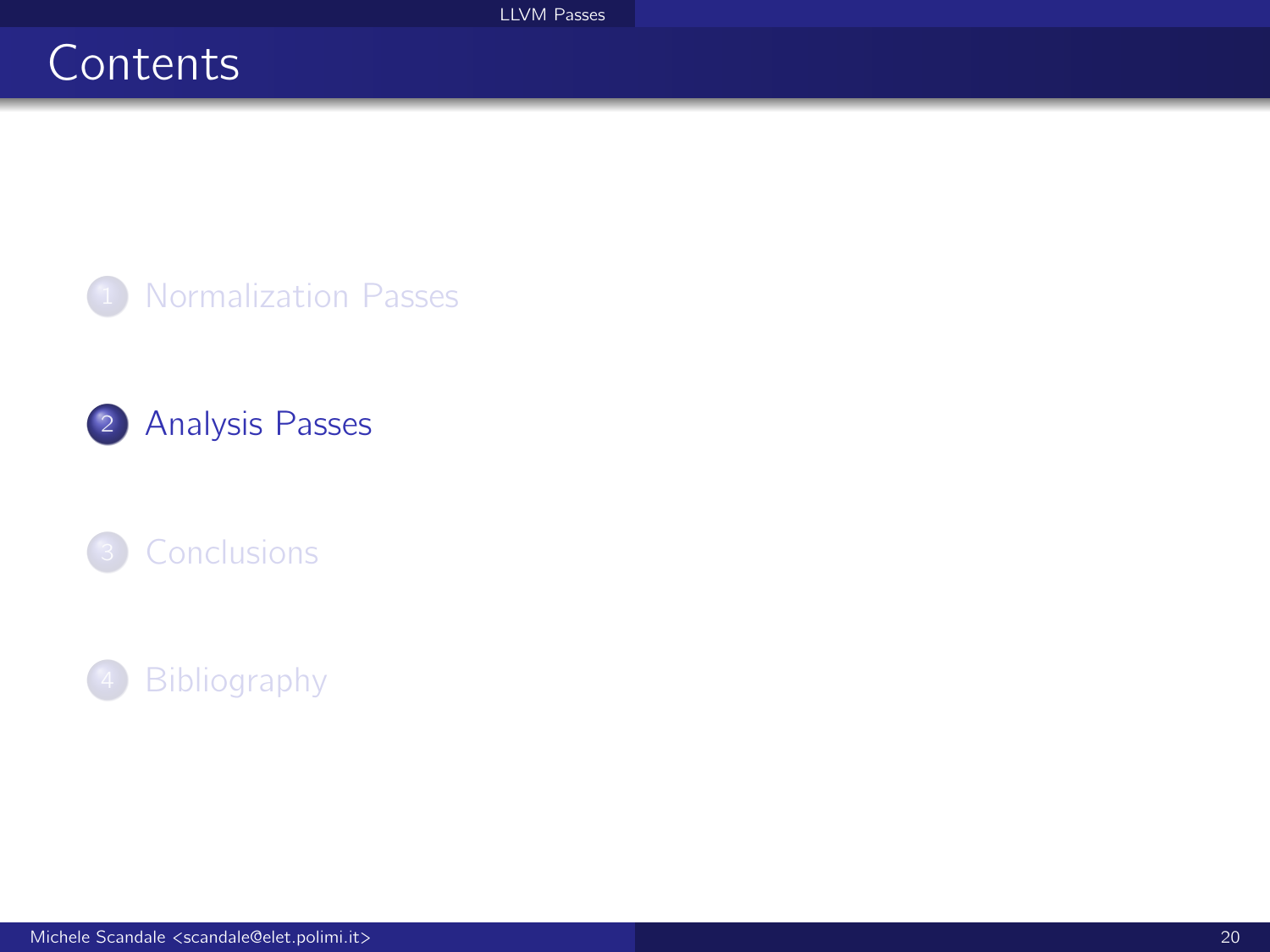# <span id="page-19-0"></span>**Contents**

<sup>1</sup> [Normalization Passes](#page-1-0)

2 [Analysis Passes](#page-19-0)



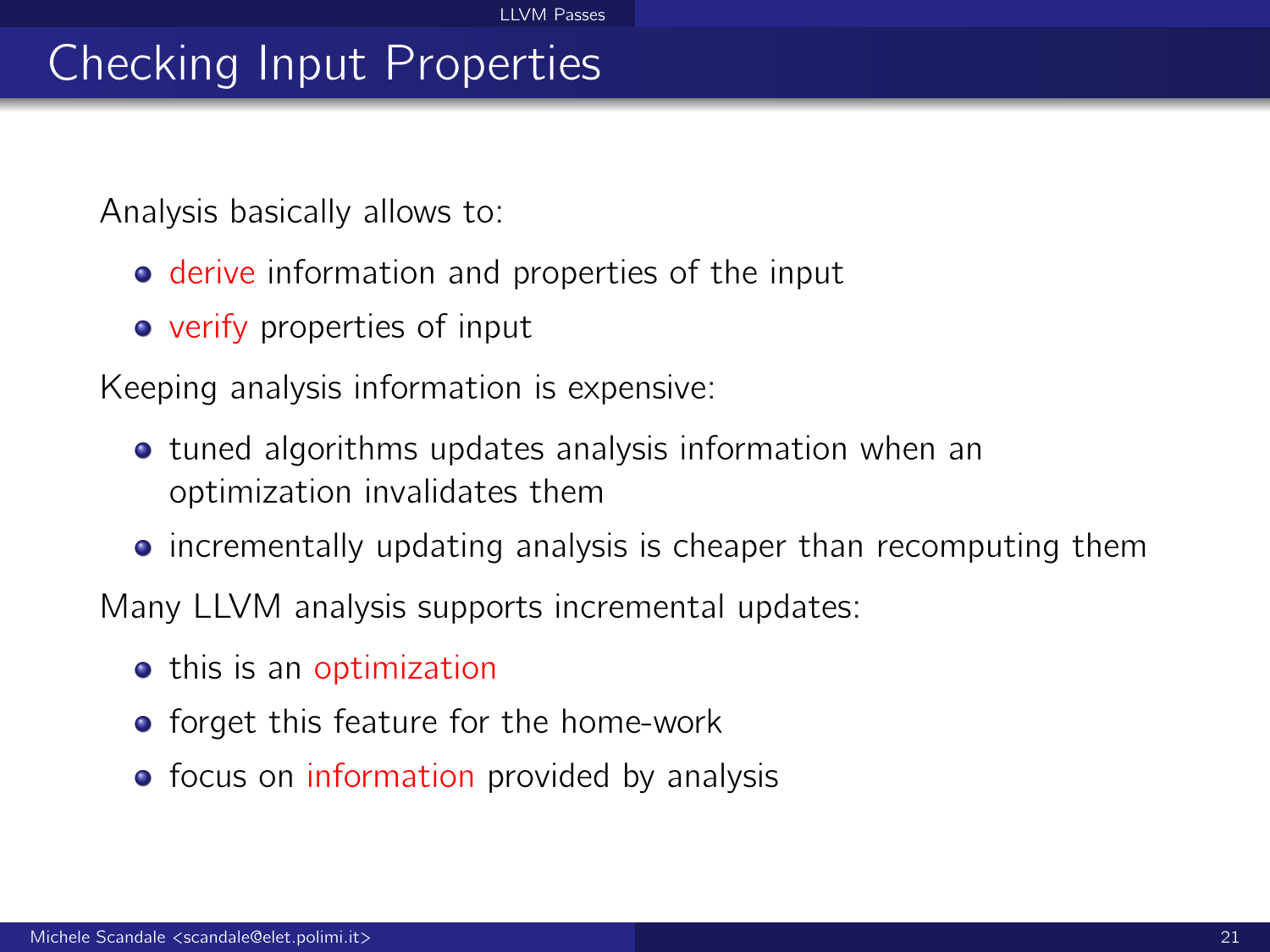# Checking Input Properties

Analysis basically allows to:

- **derive information and properties of the input**
- **•** verify properties of input

Keeping analysis information is expensive:

- **tuned algorithms updates analysis information when an** optimization invalidates them
- **•** incrementally updating analysis is cheaper than recomputing them

Many LLVM analysis supports incremental updates:

- **•** this is an optimization
- **•** forget this feature for the home-work
- focus on information provided by analysis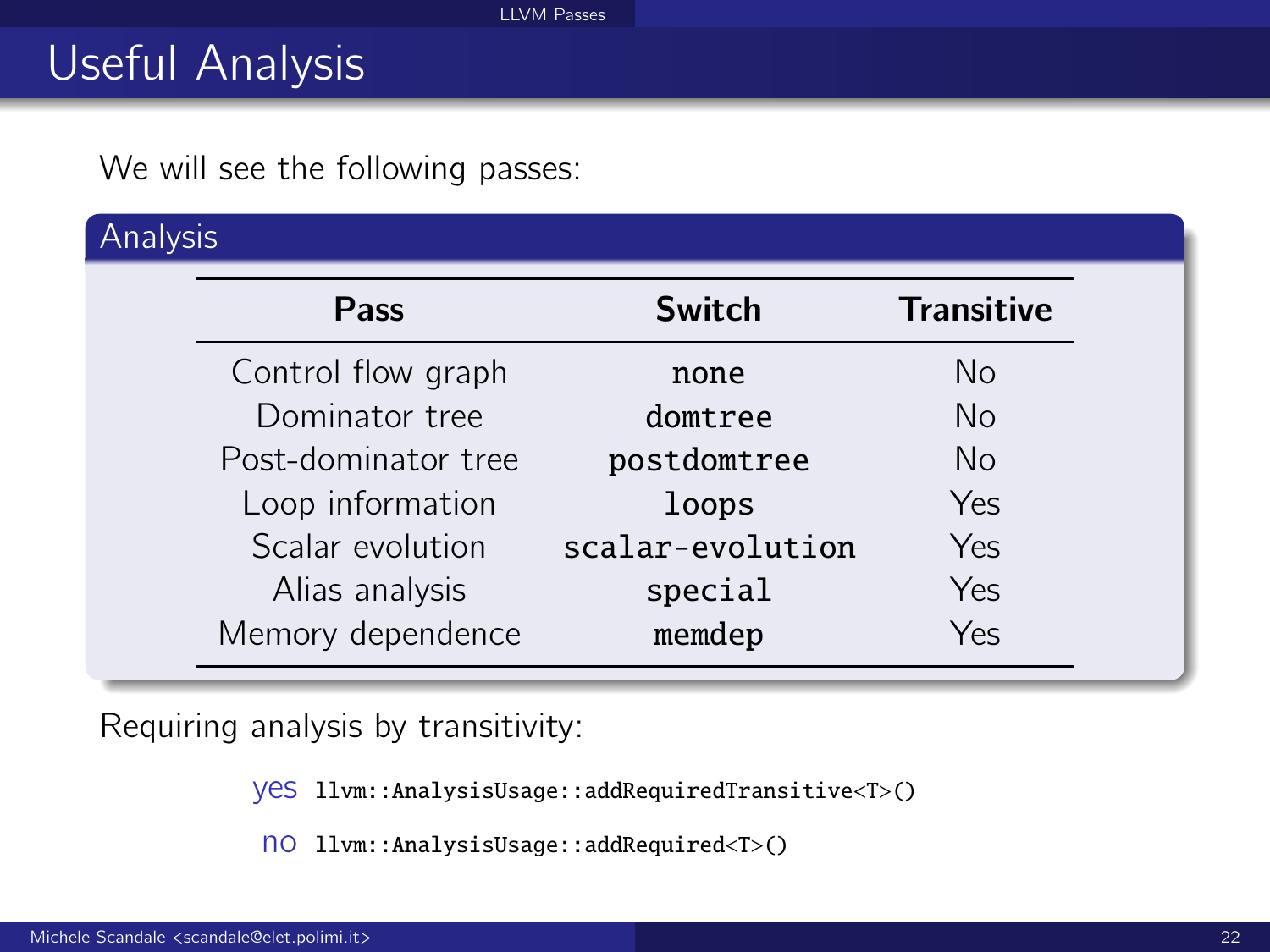# Useful Analysis

We will see the following passes:

Analysis

| Pass                | <b>Switch</b>    | <b>Transitive</b> |
|---------------------|------------------|-------------------|
| Control flow graph  | none             | No                |
| Dominator tree      | domtree          | No                |
| Post-dominator tree | postdomtree      | No                |
| Loop information    | loops            | Yes               |
| Scalar evolution    | scalar-evolution | Yes               |
| Alias analysis      | special          | Yes               |
| Memory dependence   | memdep           | Yes               |

Requiring analysis by transitivity:

yes llvm::AnalysisUsage::addRequiredTransitive<T>()

no llvm::AnalysisUsage::addRequired<T>()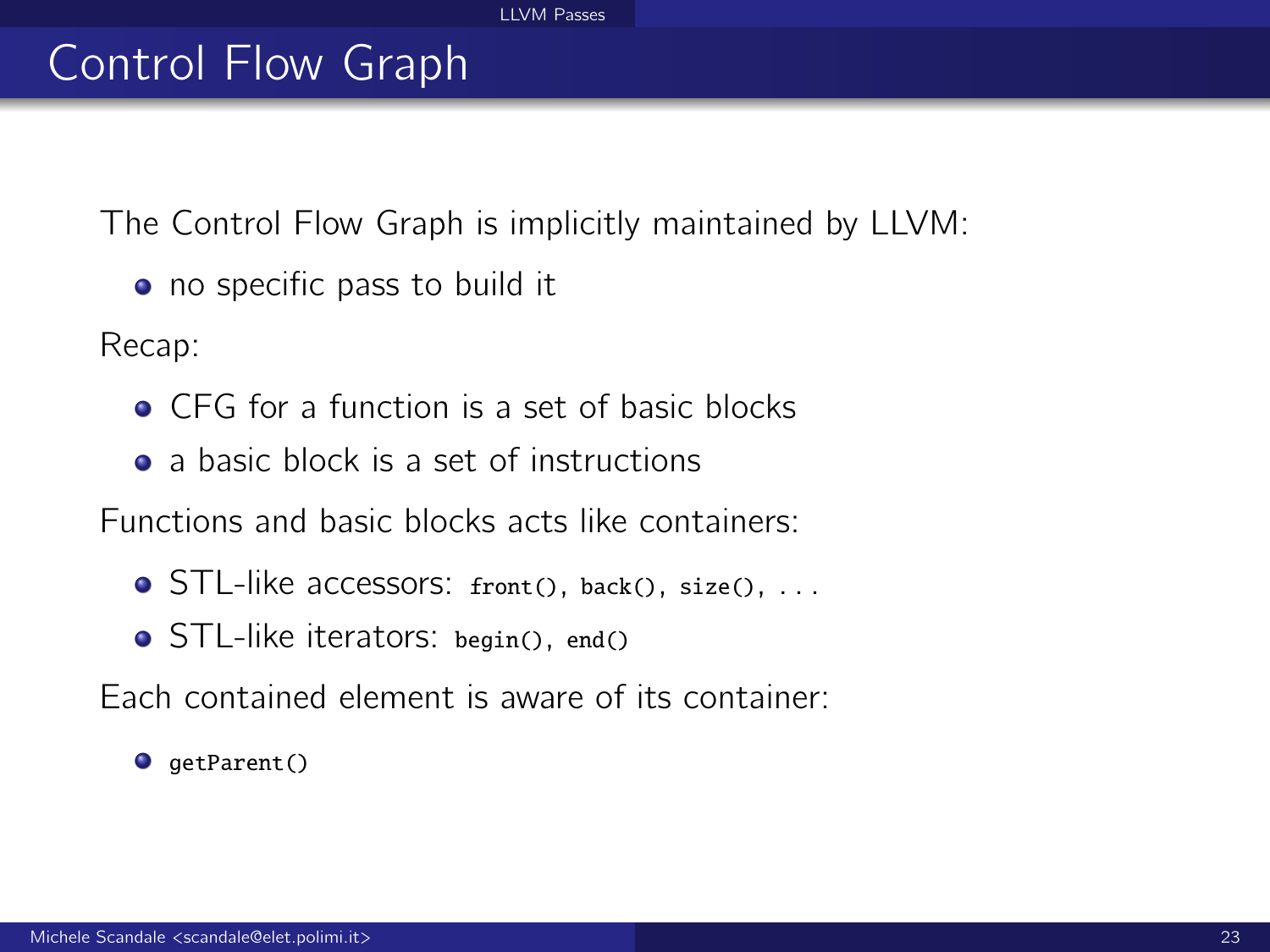# Control Flow Graph

The Control Flow Graph is implicitly maintained by LLVM:

• no specific pass to build it

Recap:

- **CFG** for a function is a set of basic blocks
- a basic block is a set of instructions

Functions and basic blocks acts like containers:

- **O** STL-like accessors: front(), back(), size(), ...
- STL-like iterators: begin(), end()

Each contained element is aware of its container:

 $\bullet$  qetParent()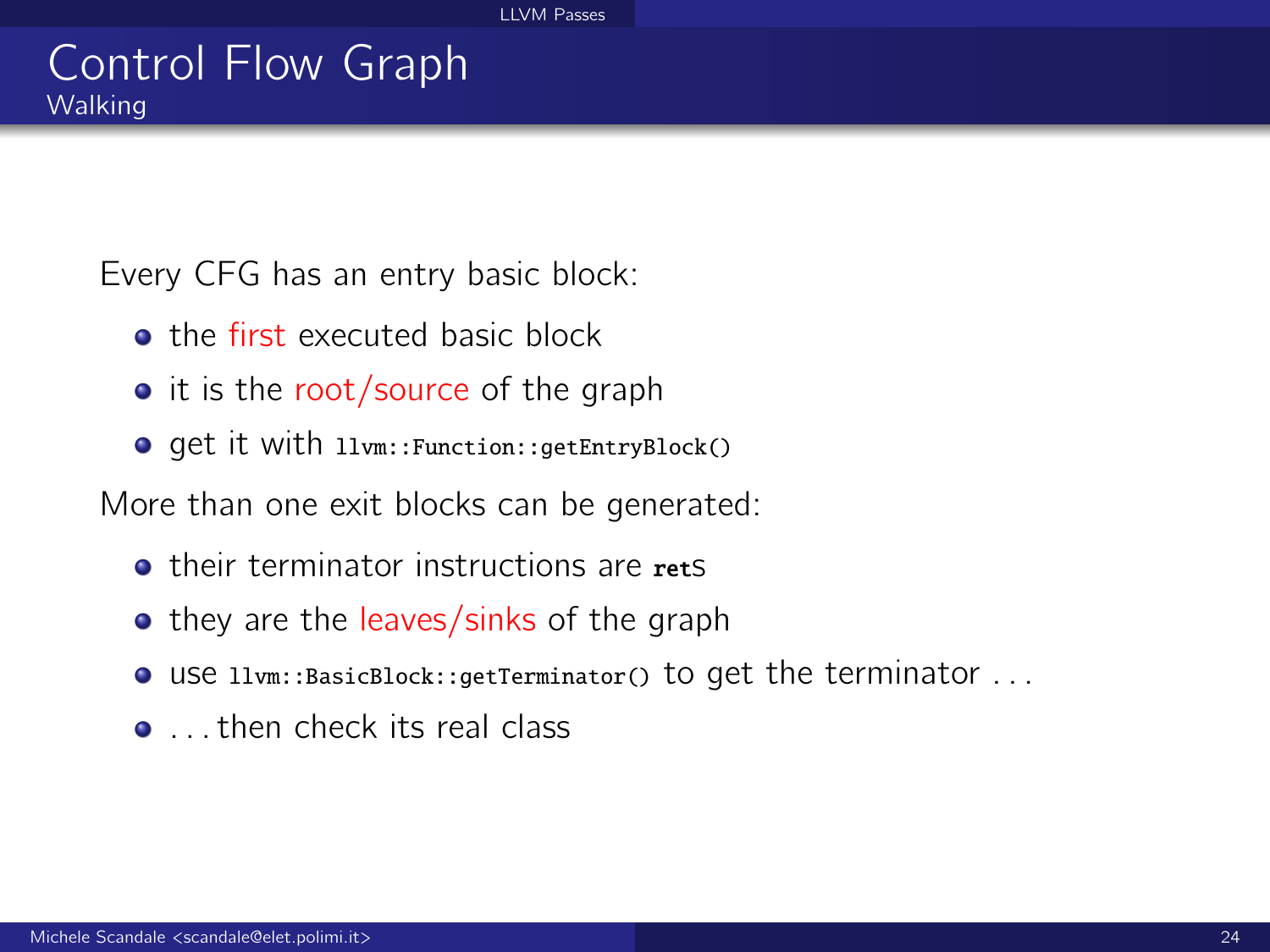### Control Flow Graph **Walking**

Every CFG has an entry basic block:

- **a** the first executed basic block
- $\bullet$  it is the root/source of the graph
- get it with llvm::Function::getEntryBlock()

More than one exit blocks can be generated:

- **Their terminator instructions are rets**
- they are the leaves/sinks of the graph
- use llvm::BasicBlock::getTerminator() to get the terminator . . .
- ... then check its real class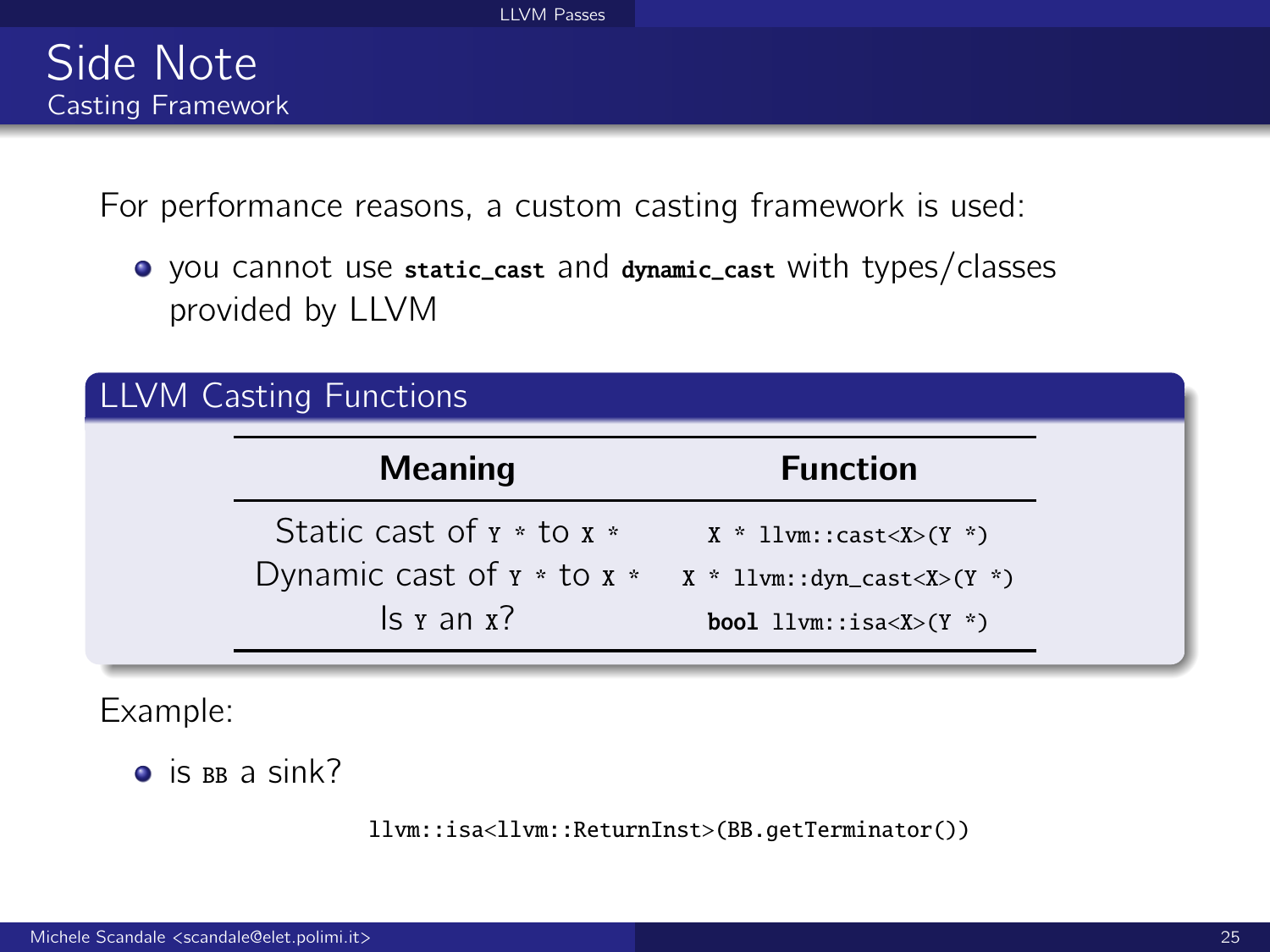For performance reasons, a custom casting framework is used:

you cannot use static\_cast and dynamic\_cast with types/classes provided by LLVM

| LLVM Casting Functions         |                                 |
|--------------------------------|---------------------------------|
| <b>Meaning</b>                 | <b>Function</b>                 |
| Static cast of $x *$ to $x *$  | $X * llvm::cast < X>(Y *)$      |
| Dynamic cast of $x *$ to $x *$ | $X * llvm::dyn\_cast < X>(Y *)$ |
| $\vert$ s y an x?              | <b>bool</b> $llvm::isa(Y^*)$    |

Example:

 $\bullet$  is BB a sink?

llvm::isa<llvm::ReturnInst>(BB.getTerminator())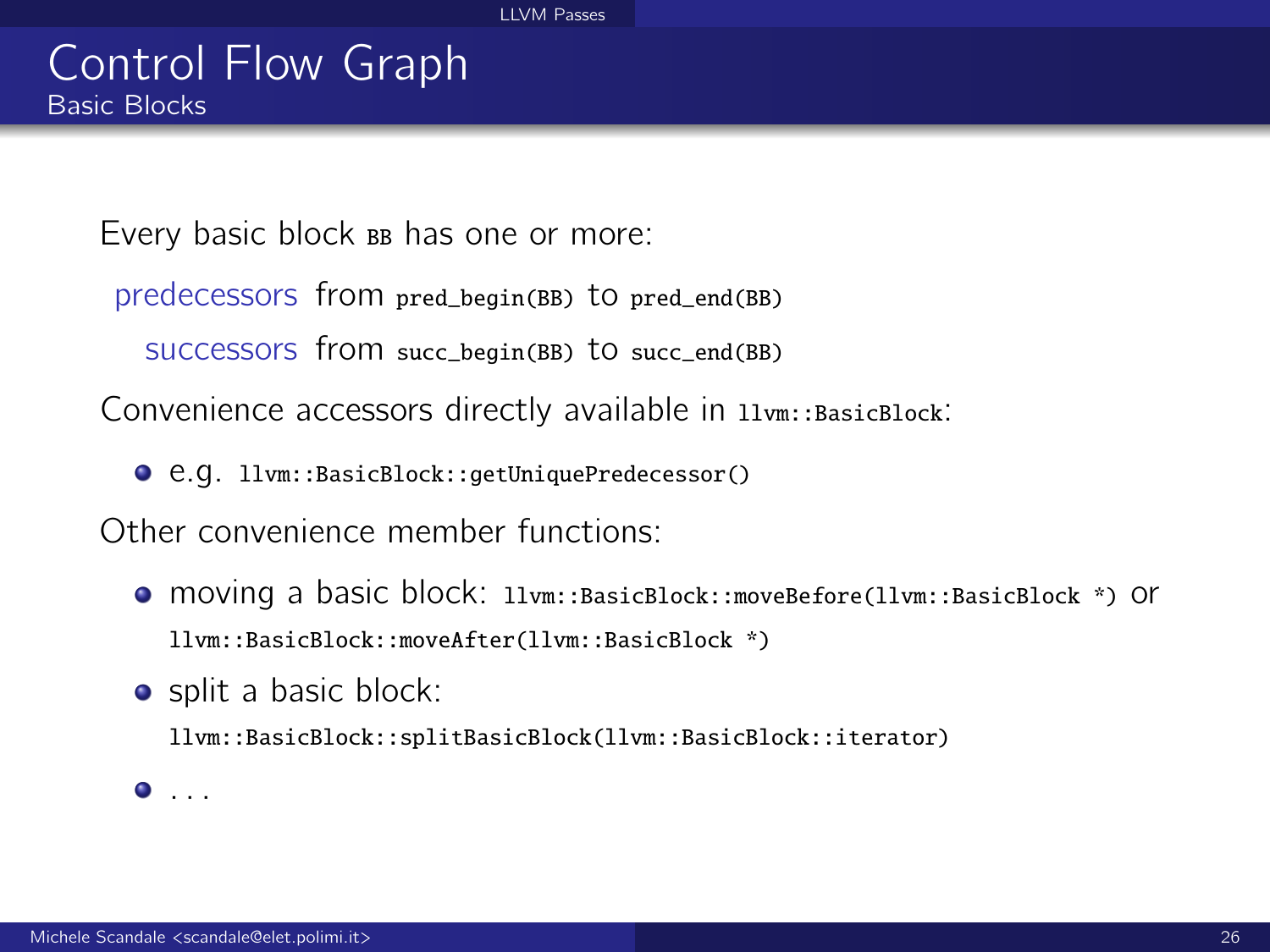### Control Flow Graph Basic Blocks

Every basic block BB has one or more:

predecessors from pred\_begin(BB) to pred\_end(BB)

successors from succ\_begin(BB) to succ\_end(BB)

Convenience accessors directly available in  $11vm::BasicBlock$ :

e.g. llvm::BasicBlock::getUniquePredecessor()

Other convenience member functions:

- moving a basic block: llvm::BasicBlock::moveBefore(llvm::BasicBlock \*) or llvm::BasicBlock::moveAfter(llvm::BasicBlock \*)
- split a basic block:

llvm::BasicBlock::splitBasicBlock(llvm::BasicBlock::iterator)

 $\bullet$  . . .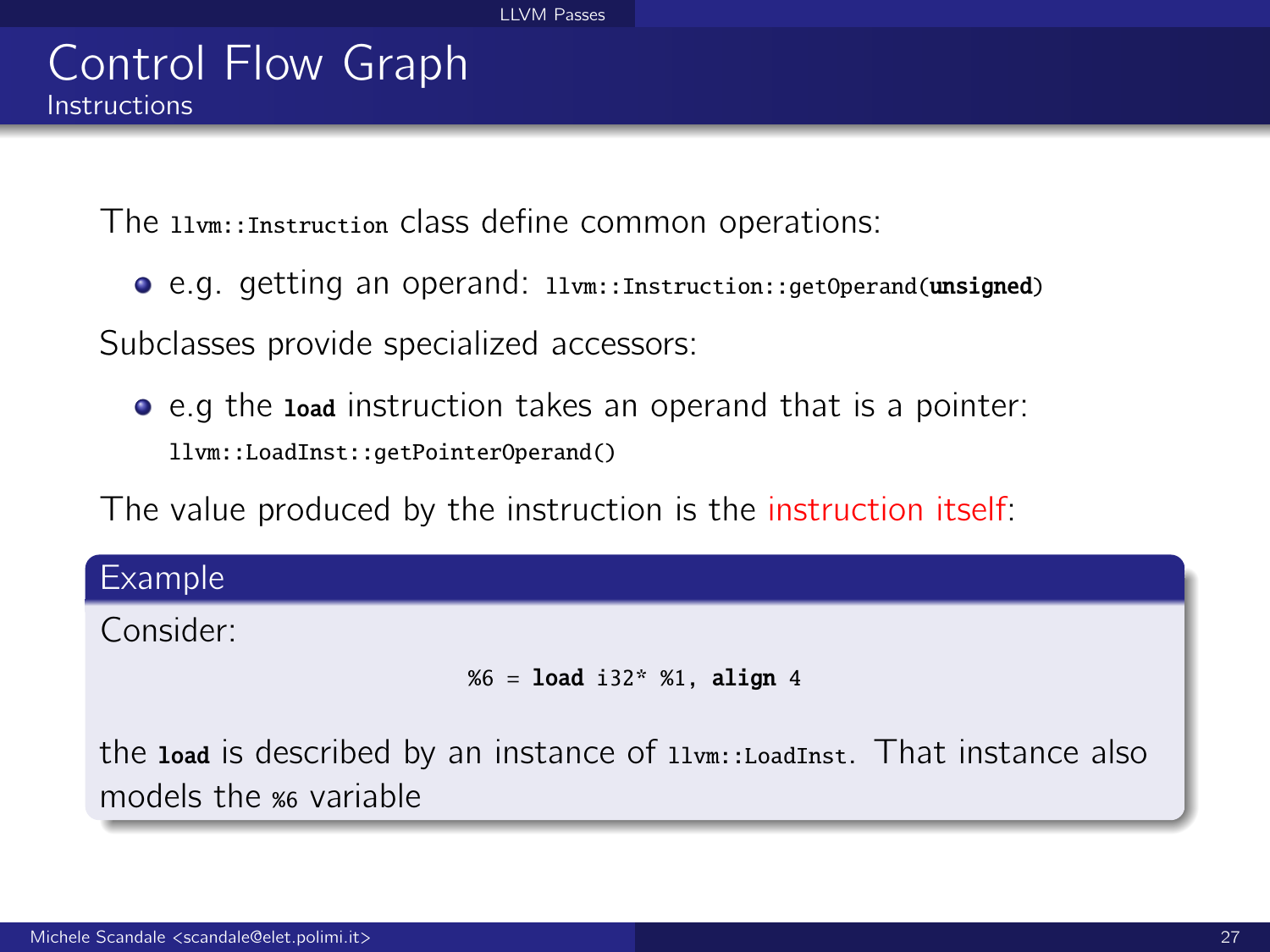#### Control Flow Graph **Instructions**

The llvm::Instruction class define common operations:

e.g. getting an operand: llvm::Instruction::getOperand(unsigned)

Subclasses provide specialized accessors:

e.g the load instruction takes an operand that is a pointer: llvm::LoadInst::getPointerOperand()

The value produced by the instruction is the instruction itself:

# Example

Consider:

```
% 6 = load i32* %1, align 4
```
the load is described by an instance of  $11vm$ : LoadInst. That instance also models the %6 variable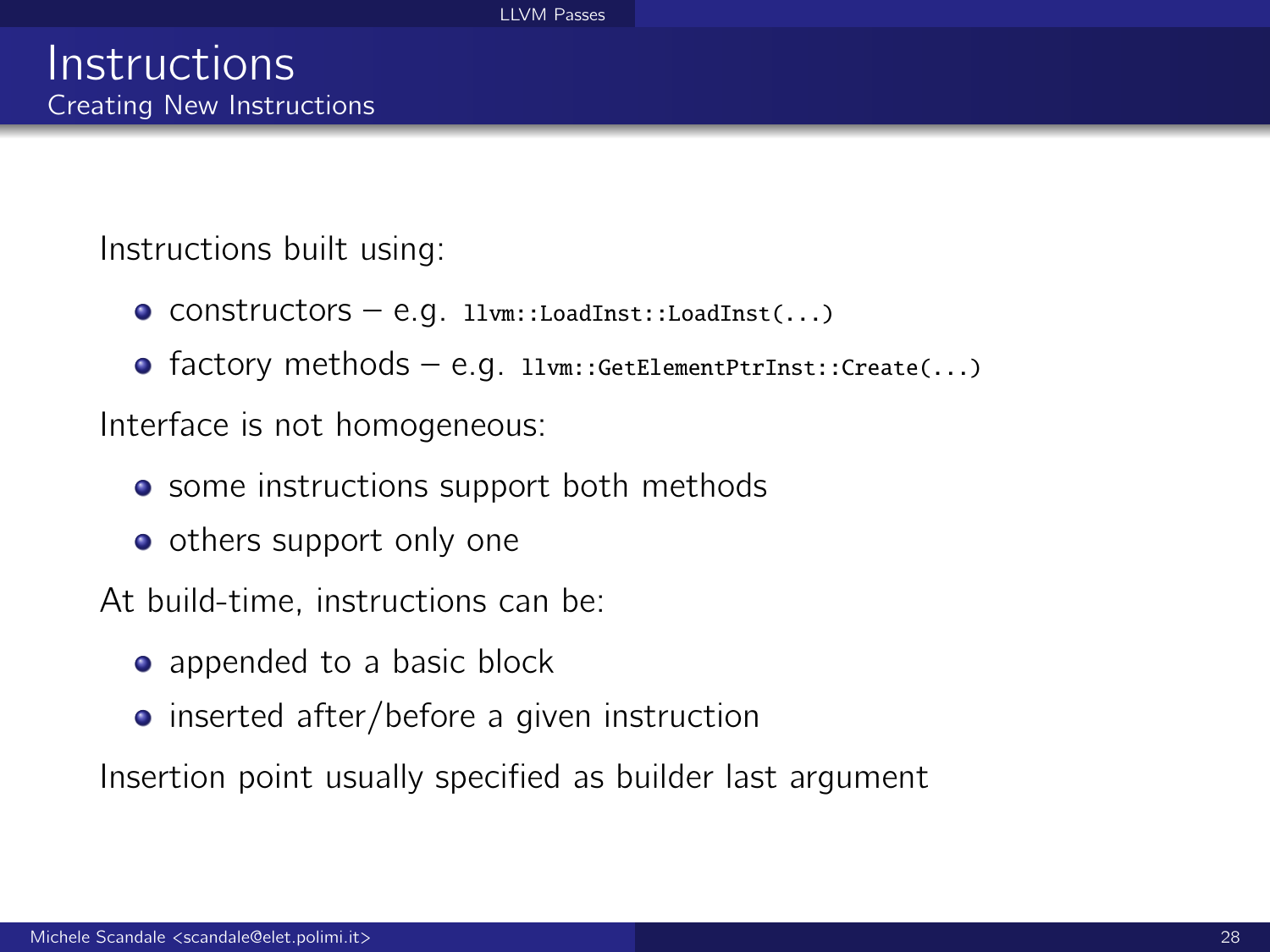Instructions built using:

- $\bullet$  CONStructors e.g. llvm::LoadInst::LoadInst(...)
- factory methods e.g. llvm::GetElementPtrInst::Create(...)

Interface is not homogeneous:

- some instructions support both methods
- others support only one

At build-time, instructions can be:

- appended to a basic block
- inserted after/before a given instruction

Insertion point usually specified as builder last argument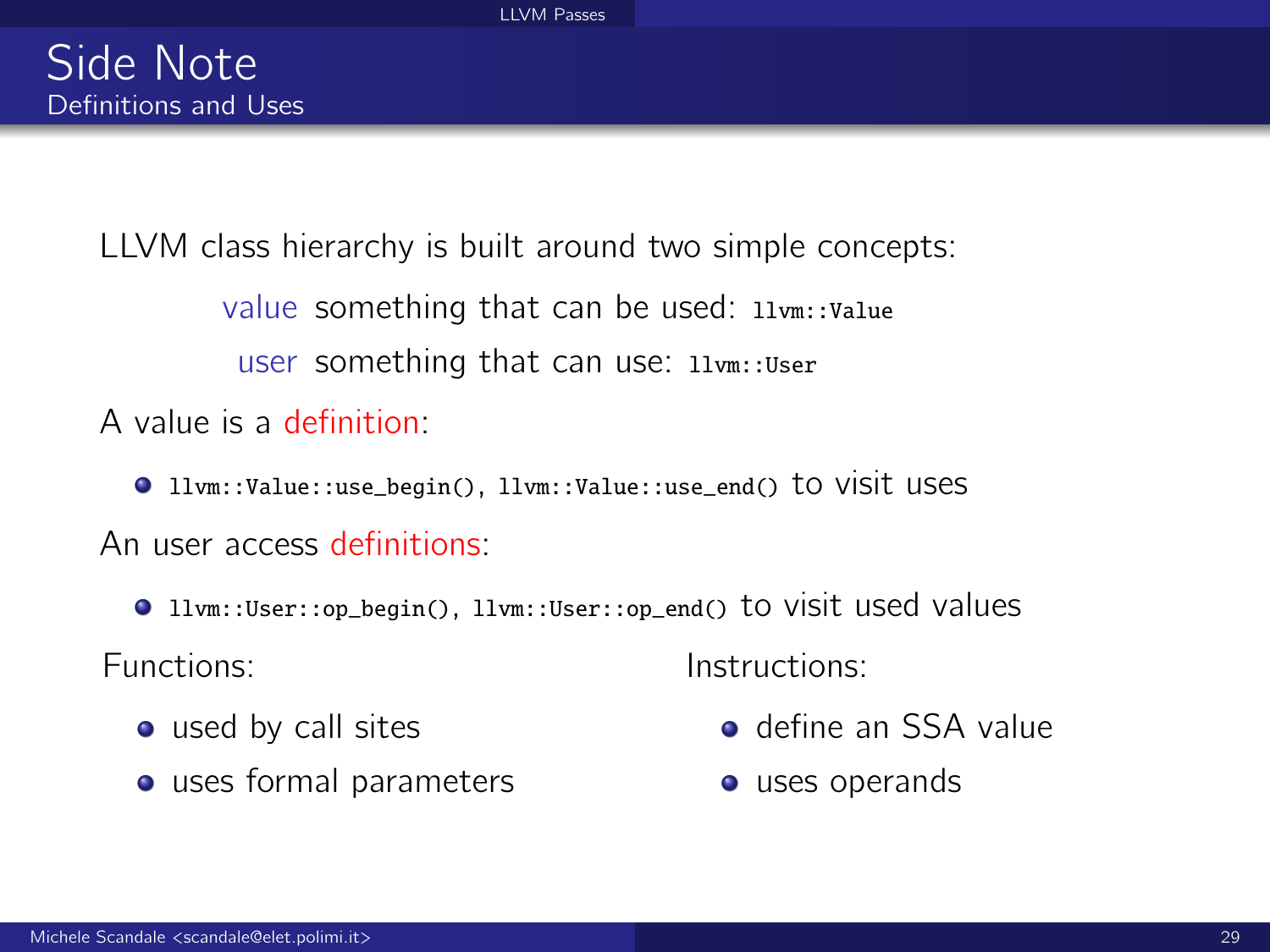LLVM class hierarchy is built around two simple concepts: value something that can be used: 11vm::Value user something that can use: llvm::User

A value is a definition:

llvm::Value::use\_begin(), llvm::Value::use\_end() to visit uses

An user access definitions:

llvm::User::op\_begin(), llvm::User::op\_end() to visit used values Functions: Instructions:

- used by call sites
- uses formal parameters

- **o** define an SSA value
- **o** uses operands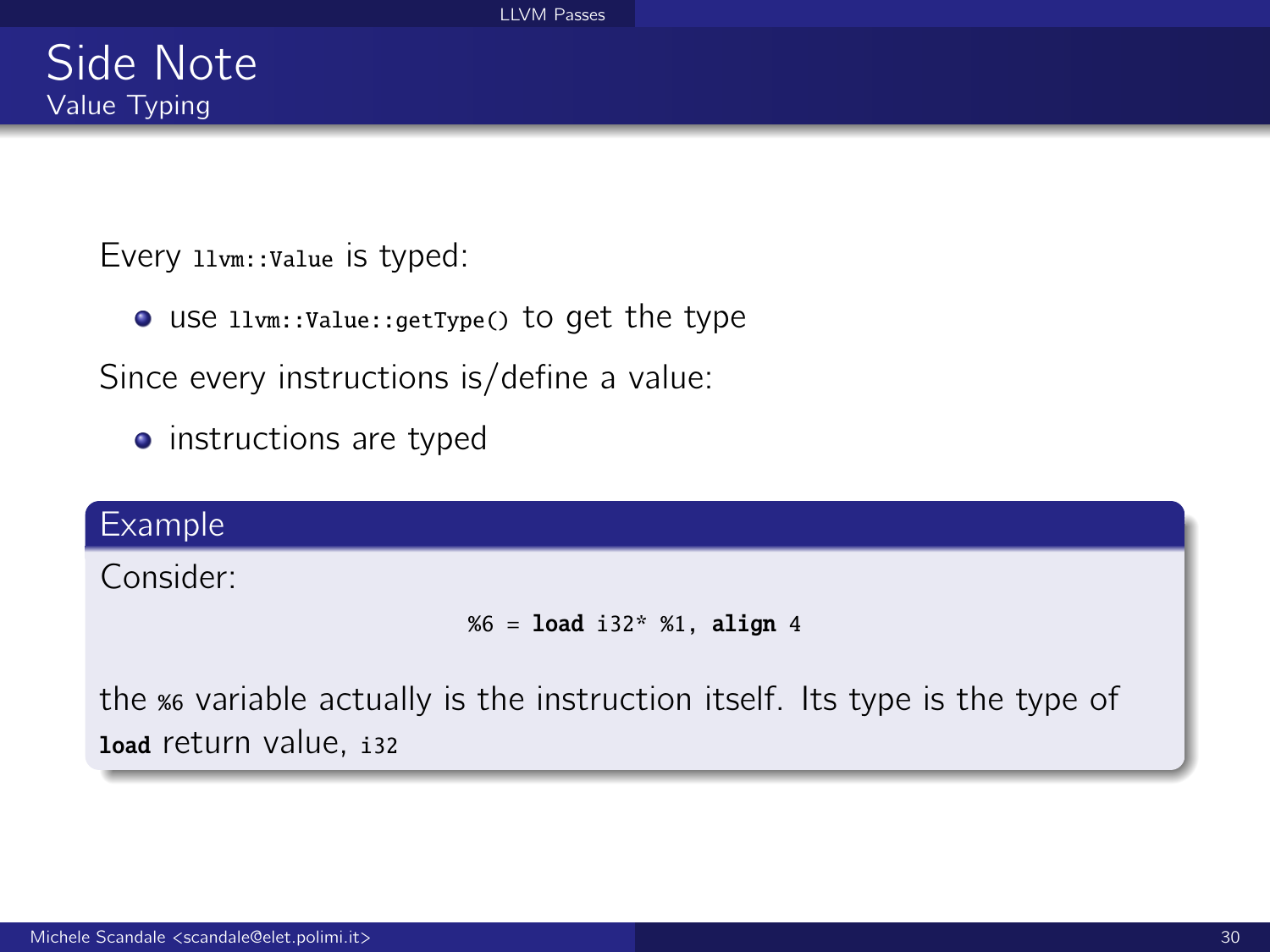Every 11<sub>vm</sub>: value is typed:

use llvm::Value::getType() to get the type

Since every instructions is/define a value:

• instructions are typed

#### Example

Consider:

```
%6 = load i32* %1, align 4
```
the %6 variable actually is the instruction itself. Its type is the type of load return value, i32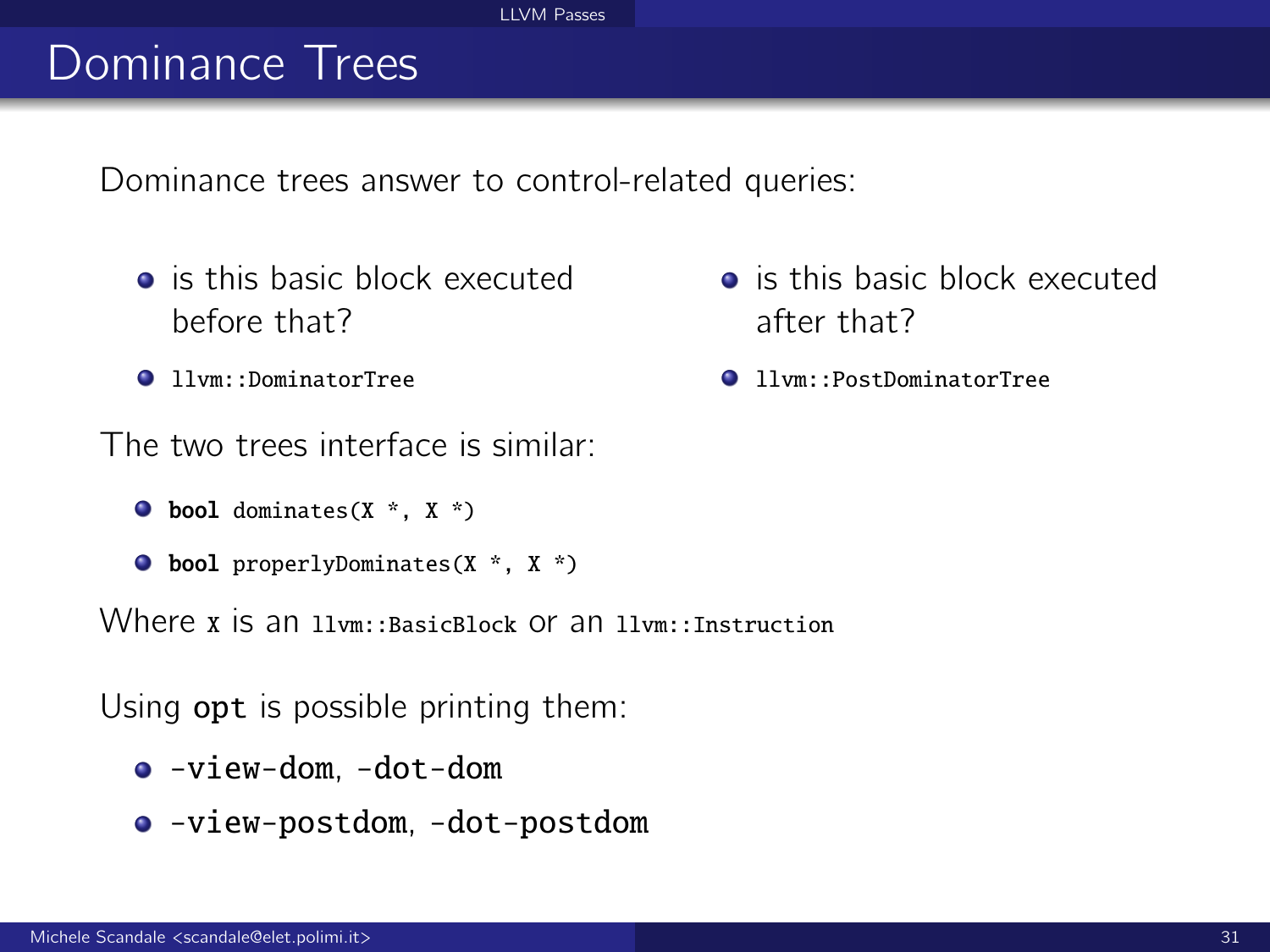#### [LLVM Passes](#page-0-0)

# Dominance Trees

Dominance trees answer to control-related queries:

- **o** is this basic block executed before that?
- **11vm::DominatorTree**

The two trees interface is similar:

- $\bullet$  bool dominates(X  $*$ , X  $*$ )
- bool properlyDominates(X \*, X \*)

Where x is an llym: BasicBlock Of an llym: Instruction

Using opt is possible printing them:

- -view-dom, -dot-dom
- -view-postdom, -dot-postdom
- **o** is this basic block executed after that?
- llvm::PostDominatorTree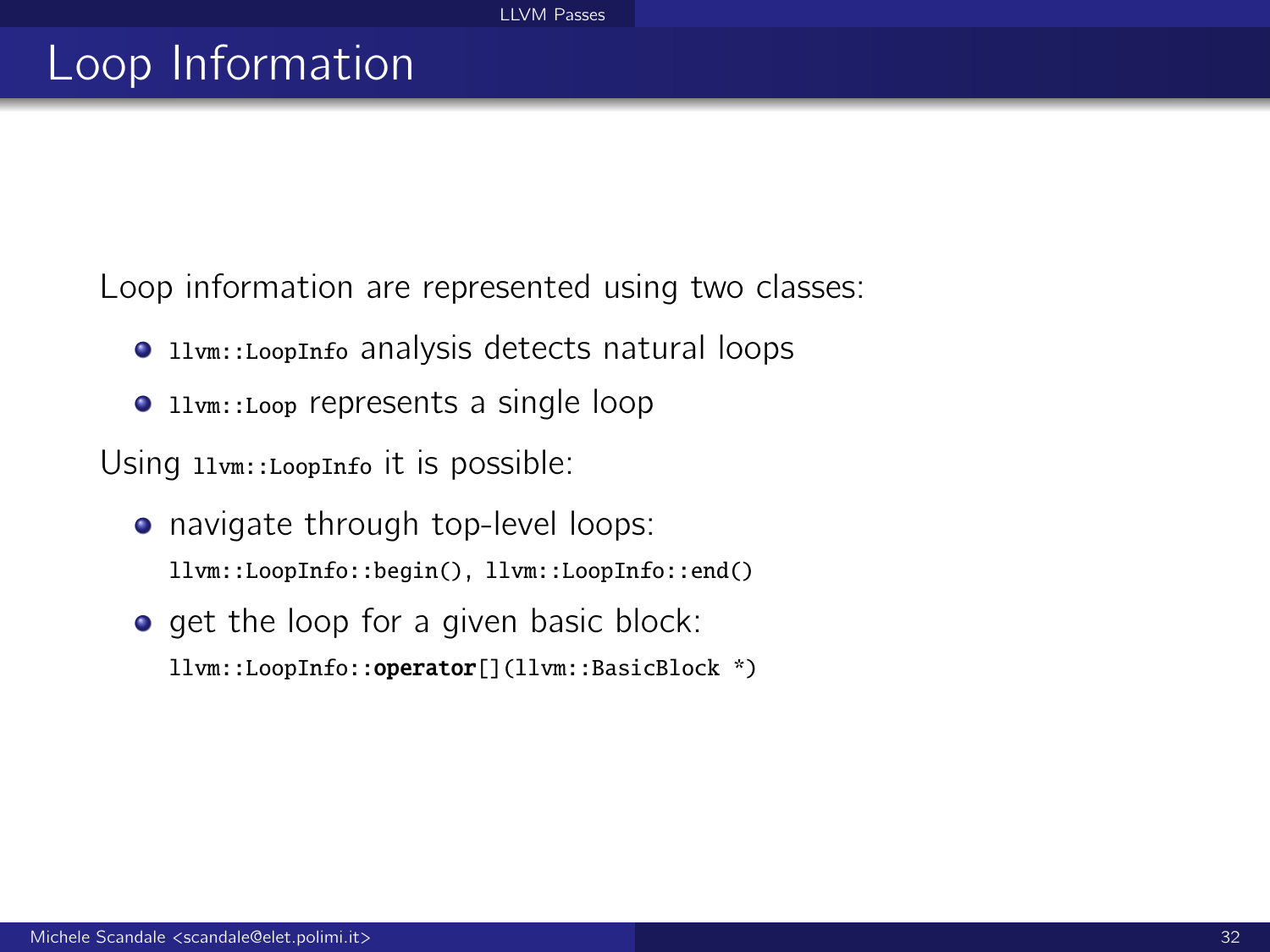# Loop Information

Loop information are represented using two classes:

- **The 11vm::LoopInfo analysis detects natural loops**
- **1** llvm::Loop represents a single loop

Using llvm::LoopInfo it is possible:

- navigate through top-level loops: llvm::LoopInfo::begin(), llvm::LoopInfo::end()
- **e** get the loop for a given basic block: llvm::LoopInfo::operator[](llvm::BasicBlock \*)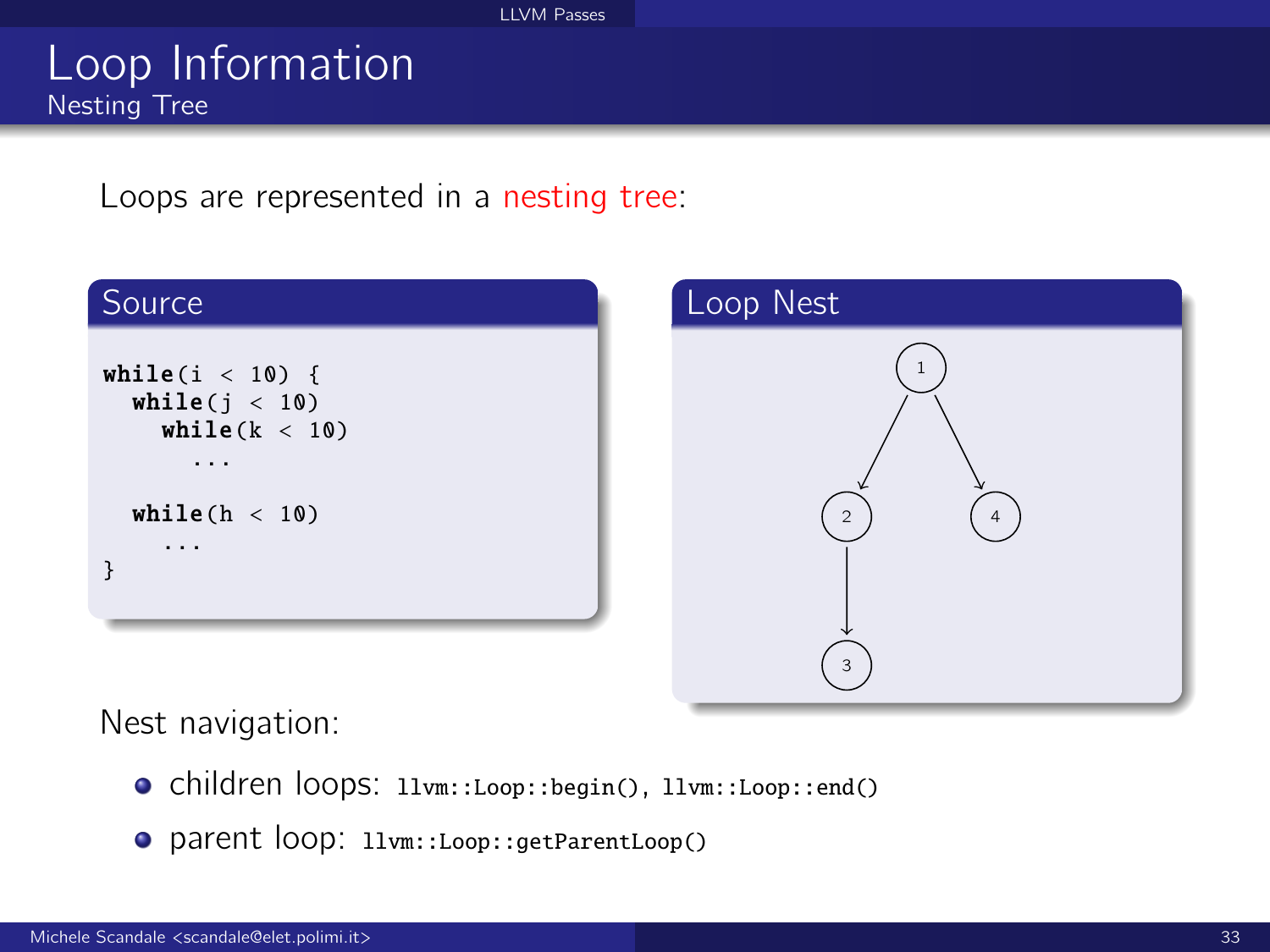### Loop Information Nesting Tree

Loops are represented in a nesting tree:





Nest navigation:

- children loops: llvm::Loop::begin(), llvm::Loop::end()
- parent loop: llvm::Loop::getParentLoop()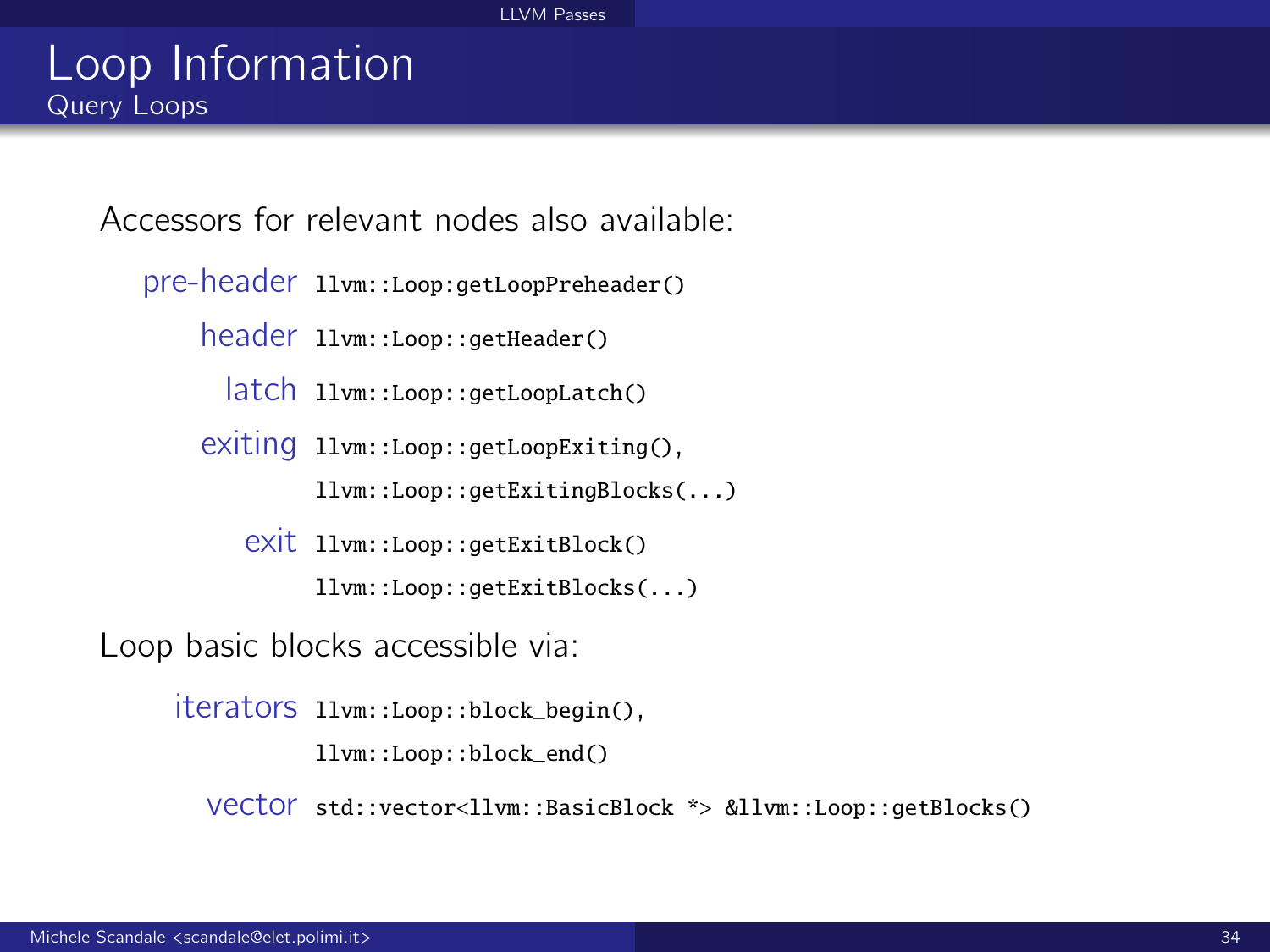Accessors for relevant nodes also available:

pre-header llvm::Loop:getLoopPreheader()

header llvm::Loop::getHeader()

latch llvm::Loop::getLoopLatch()

exiting llvm::Loop::getLoopExiting(),

llvm::Loop::getExitingBlocks(...)

exit llvm::Loop::getExitBlock()

llvm::Loop::getExitBlocks(...)

Loop basic blocks accessible via:

iterators llvm::Loop::block\_begin(),

llvm::Loop::block\_end()

vector std::vector<llvm::BasicBlock \*> &llvm::Loop::getBlocks()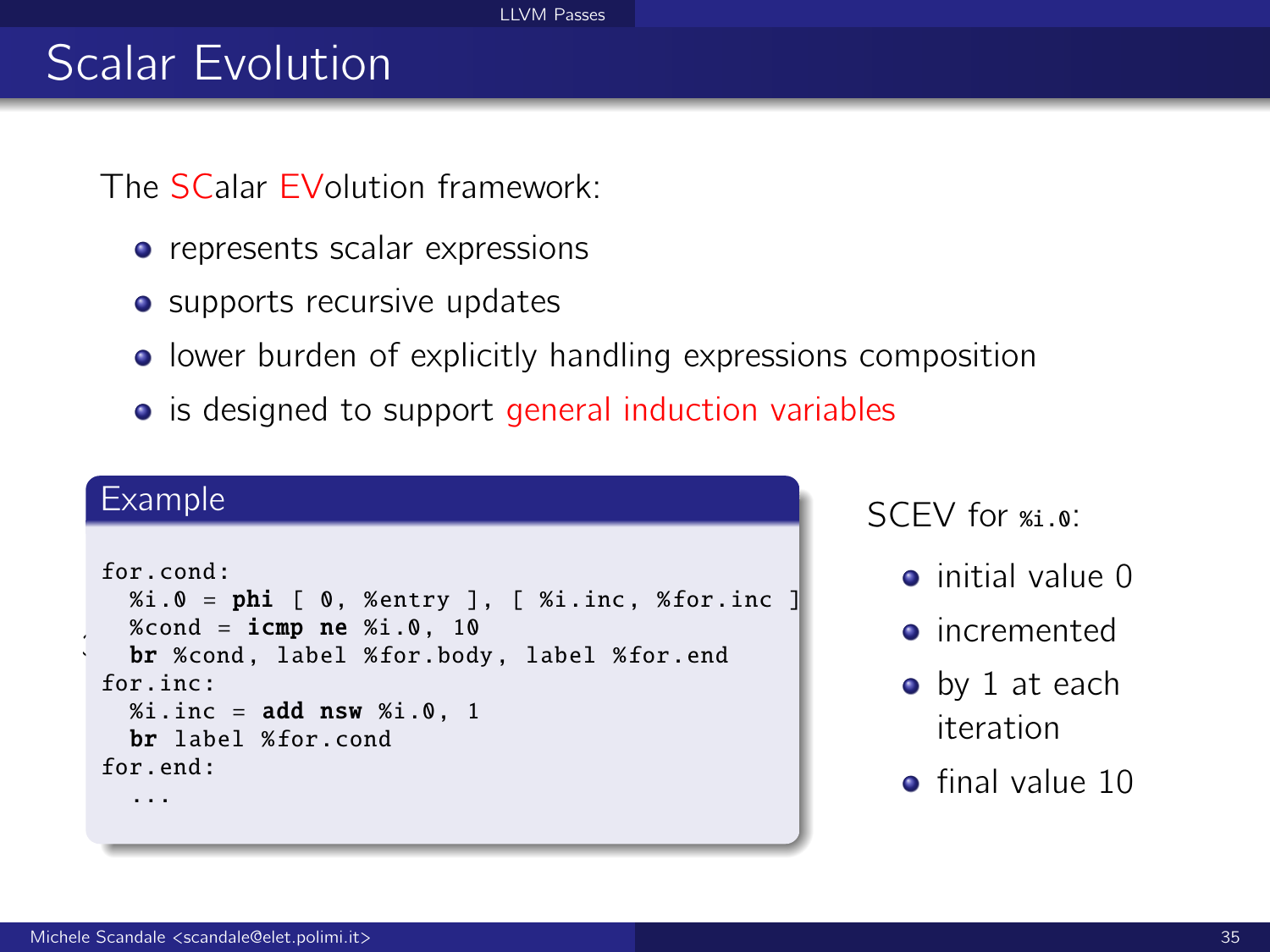#### [LLVM Passes](#page-0-0)

# Scalar Evolution

The SCalar EVolution framework:

- represents scalar expressions
- supports recursive updates
- **•** lower burden of explicitly handling expressions composition
- is designed to support general induction variables

#### Example

```
\ddot{\phantom{0}}for.cond:
   % i.0 = phi [ 0, % entry ], [ % i. inc, % for. inc]%cond = icmp ne %i.0.10br %cond. label %for.body. label %for.end
 for inc:
   % i.inc = add nsw % i.0.1br label %for.cond
 for end:
   ...
```
SCEV for  $%$ <sub>3</sub>.0:

- initial value 0
- incremented
- by 1 at each iteration
- **e** final value 10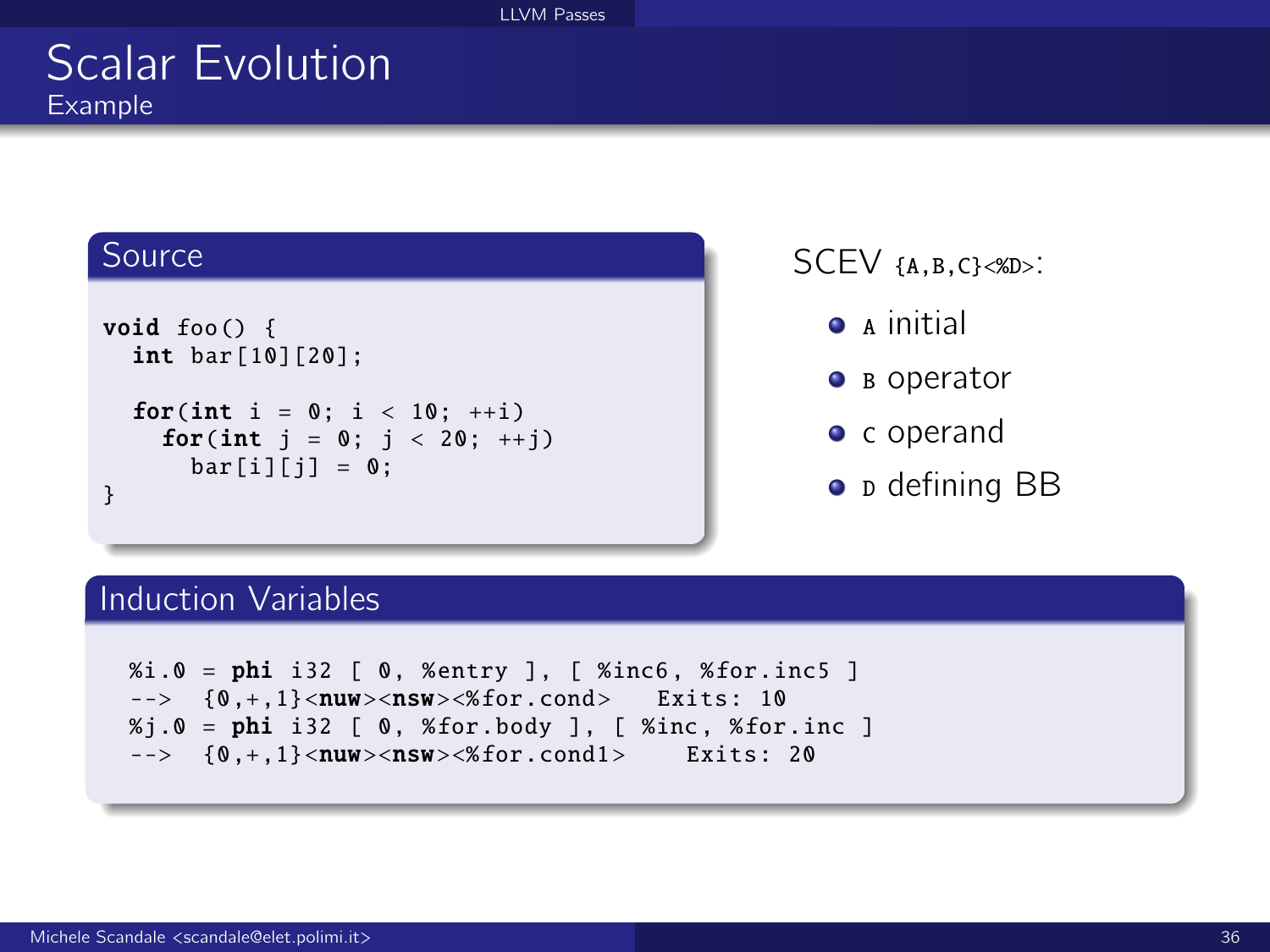### Scalar Evolution Example

#### Source

```
void foo() {
  int bar [10][20];
  for(int i = 0; i < 10; +i)
    for(int i = 0; i < 20; ++i)
      bar[i][i] = 0:
}
```
SCEV {A,B,C}<%D>:

- $\bullet$  A initial
- **B** operator
- c operand
- **D** defining BB

#### Induction Variables

```
%i.0 = phi i32 [ 0, %entry ], [ %inc6 , %for.inc5 ]
\leftarrow > {0, +, 1}<nuw><nsw><%for.cond> Exits: 10
% j.0 = phi i32 [ 0, % for.body ], [ % inc, % for.inc ]\left(-\right) {0, +, 1}<nuw><nsw><%for.cond1> Exits: 20
```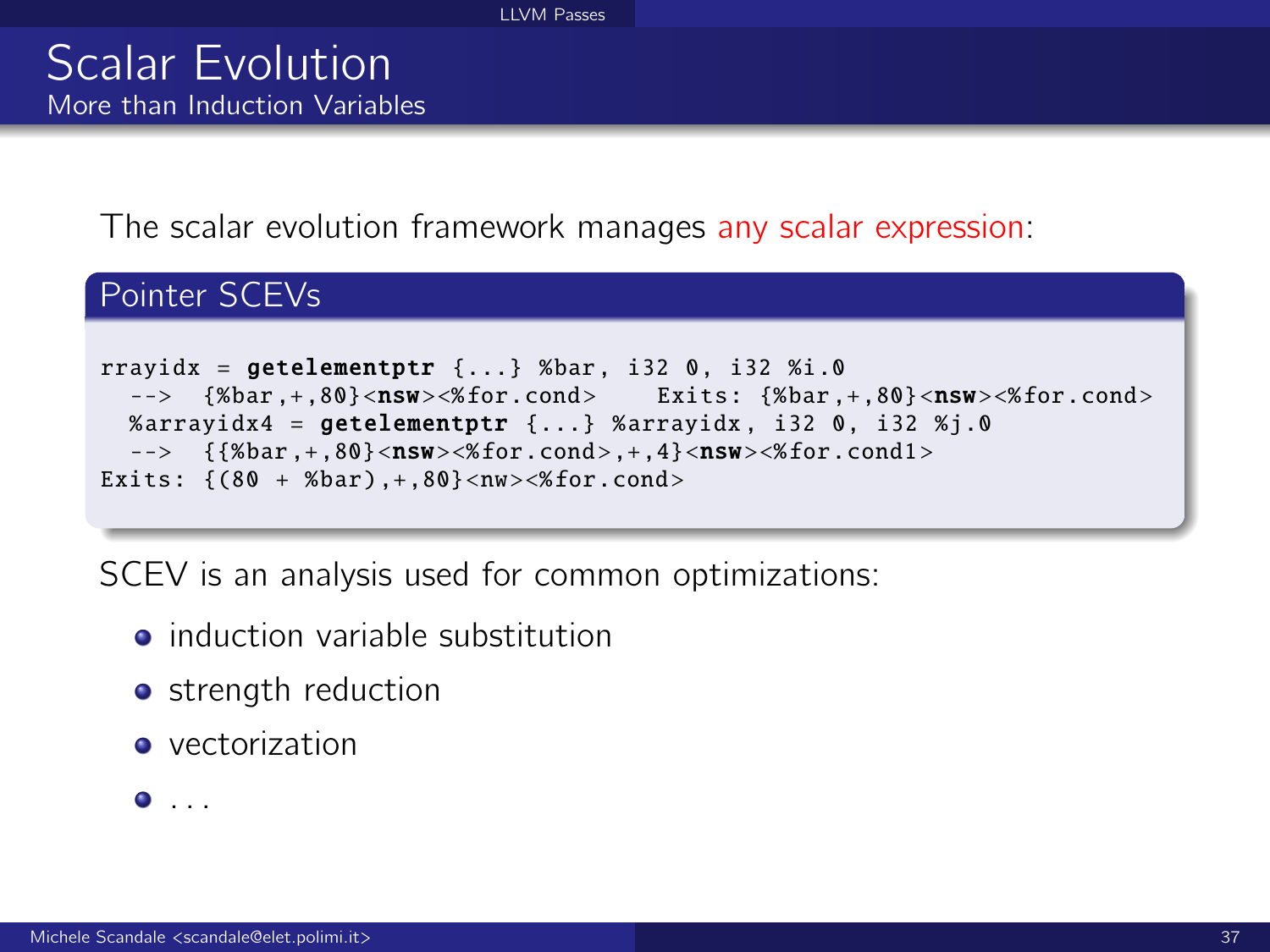The scalar evolution framework manages any scalar expression:

### Pointer SCEVs

```
rravidx = \texttt{getelement} \{ \ldots \} %bar, i32 0, i32 %i.0
  --> {%bar, +, 80} <nsw><%for.cond> Exits: {%bar, +, 80} <nsw><%for.cond>
  %arrayidx4 = getelementptr {...} %arrayidx, i32 0, i32 %j.0
  \left\{ {\{\%bar},+,{80}\}<\textbf{nsw}>\{\%for.cond>,+,4\}<\textbf{nsw}>\{\%for.cond\} \right\}Exits: \{(80 + %bar), +, 80\} < nw > < % for.cond >
```
SCEV is an analysis used for common optimizations:

- induction variable substitution
- **o** strength reduction
- **•** vectorization

. . .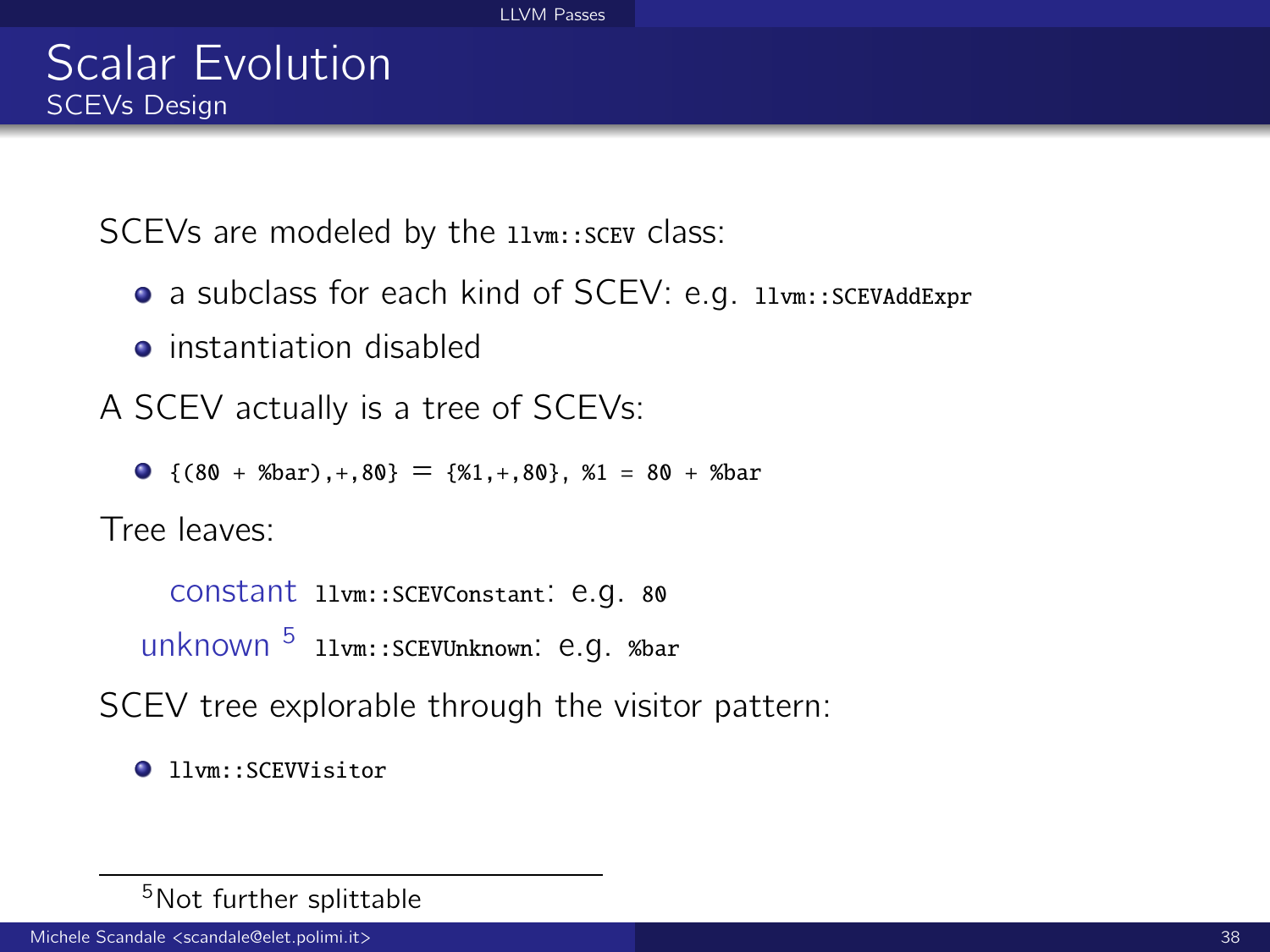SCEVs are modeled by the  $l1vm::SCEV$  class:

- a subclass for each kind of SCEV: e.g. 11vm::SCEVAddExpr
- **•** instantiation disabled
- A SCEV actually is a tree of SCEVs:
	- $\bullet$  {(80 + %bar), +, 80} = {%1, +, 80}, %1 = 80 + %bar

Tree leaves:

```
constant llvm::SCEVConstant: e.g. 80
unknown<sup>5</sup> llvm::SCEVUnknown: e.g. %bar
```
SCEV tree explorable through the visitor pattern:

```
1lvm::SCEVVisitor
```
<sup>5</sup>Not further splittable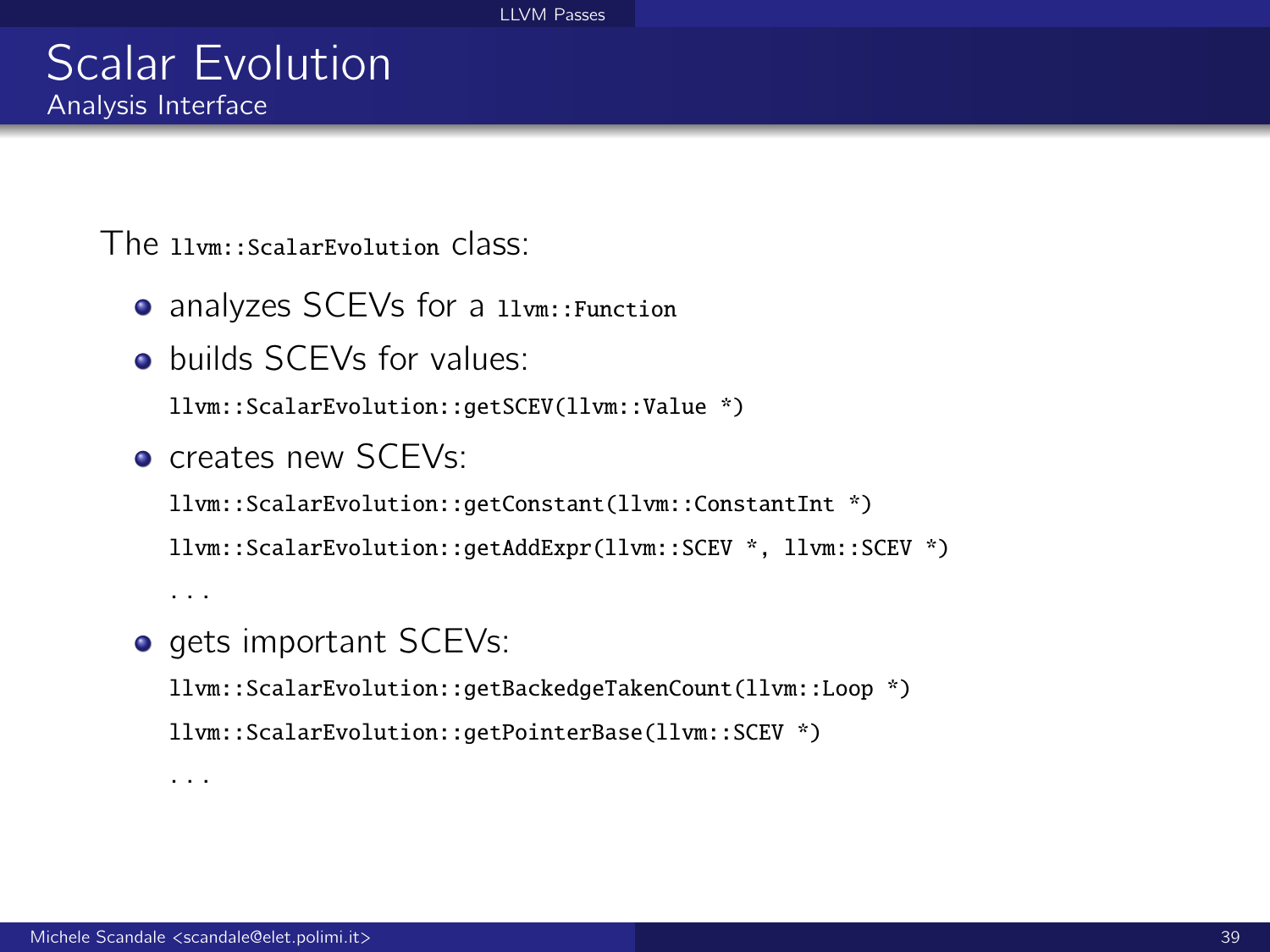The llvm::ScalarEvolution class:

- analyzes SCEVs for a llvm::Function
- **o** builds SCEVs for values:

llvm::ScalarEvolution::getSCEV(llvm::Value \*)

**o** creates new SCEVs:

llvm::ScalarEvolution::getConstant(llvm::ConstantInt \*) llvm::ScalarEvolution::getAddExpr(llvm::SCEV \*, llvm::SCEV \*)

. . .

. . .

o gets important SCEVs:

llvm::ScalarEvolution::getBackedgeTakenCount(llvm::Loop \*) llvm::ScalarEvolution::getPointerBase(llvm::SCEV \*)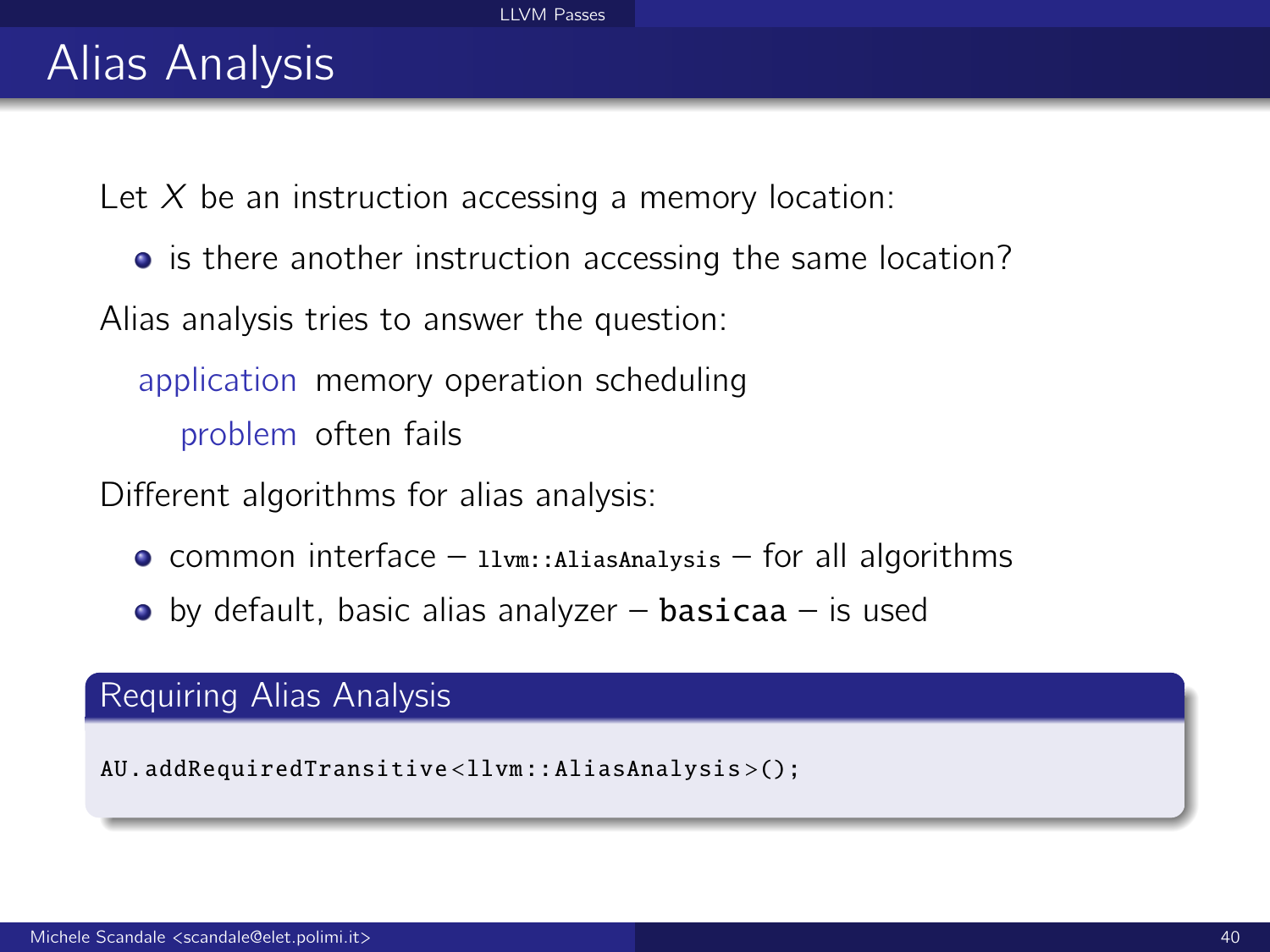# Alias Analysis

Let  $X$  be an instruction accessing a memory location:

• is there another instruction accessing the same location?

Alias analysis tries to answer the question:

application memory operation scheduling problem often fails

Different algorithms for alias analysis:

- $\bullet$  common interface llvm::AliasAnalysis for all algorithms
- $\bullet$  by default, basic alias analyzer basicaa is used

#### Requiring Alias Analysis

AU. addRequiredTransitive <llvm :: AliasAnalysis >();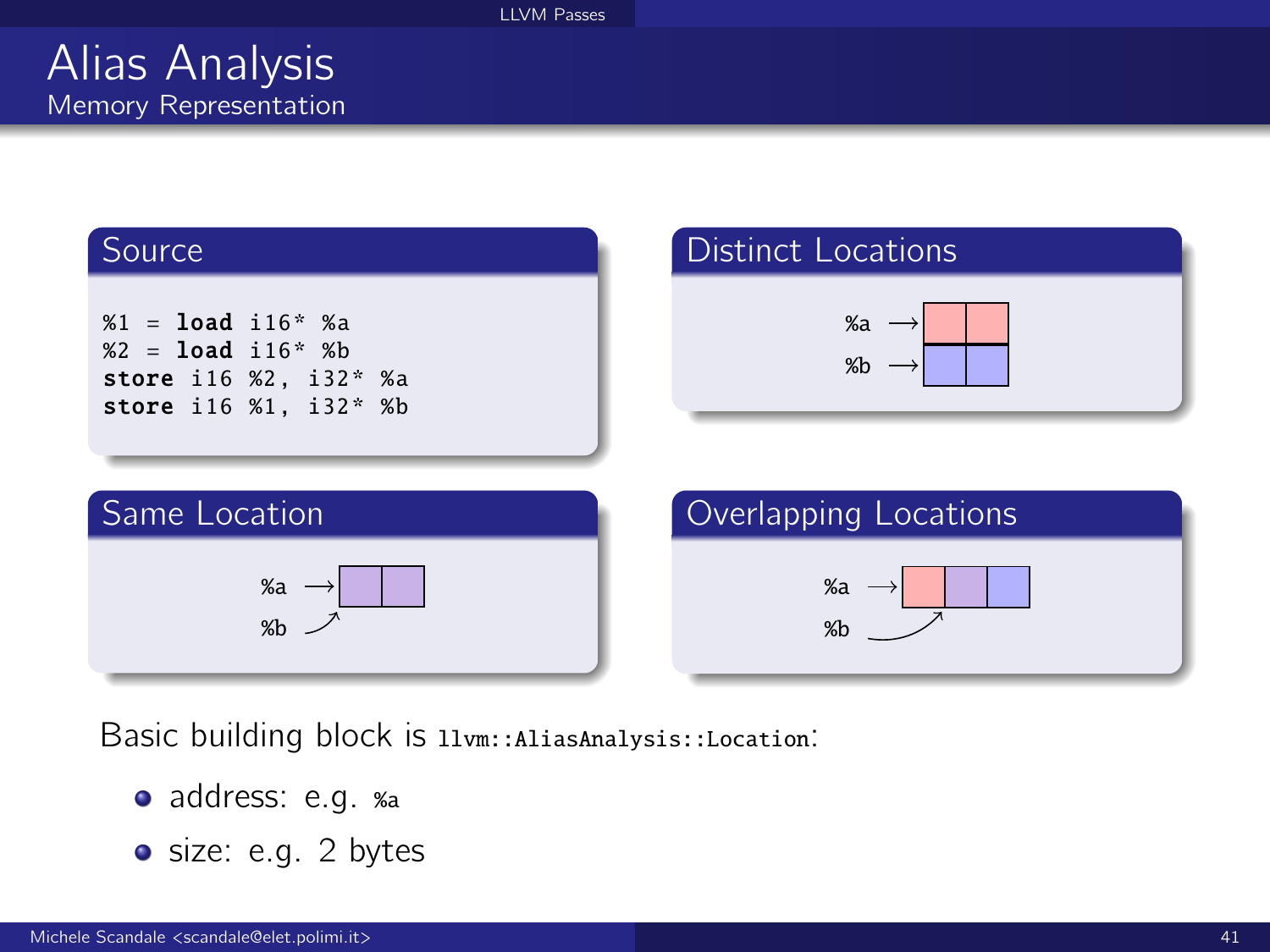

Basic building block is llvm::AliasAnalysis::Location:

- address: e.g. %a
- **o** size: e.g. 2 bytes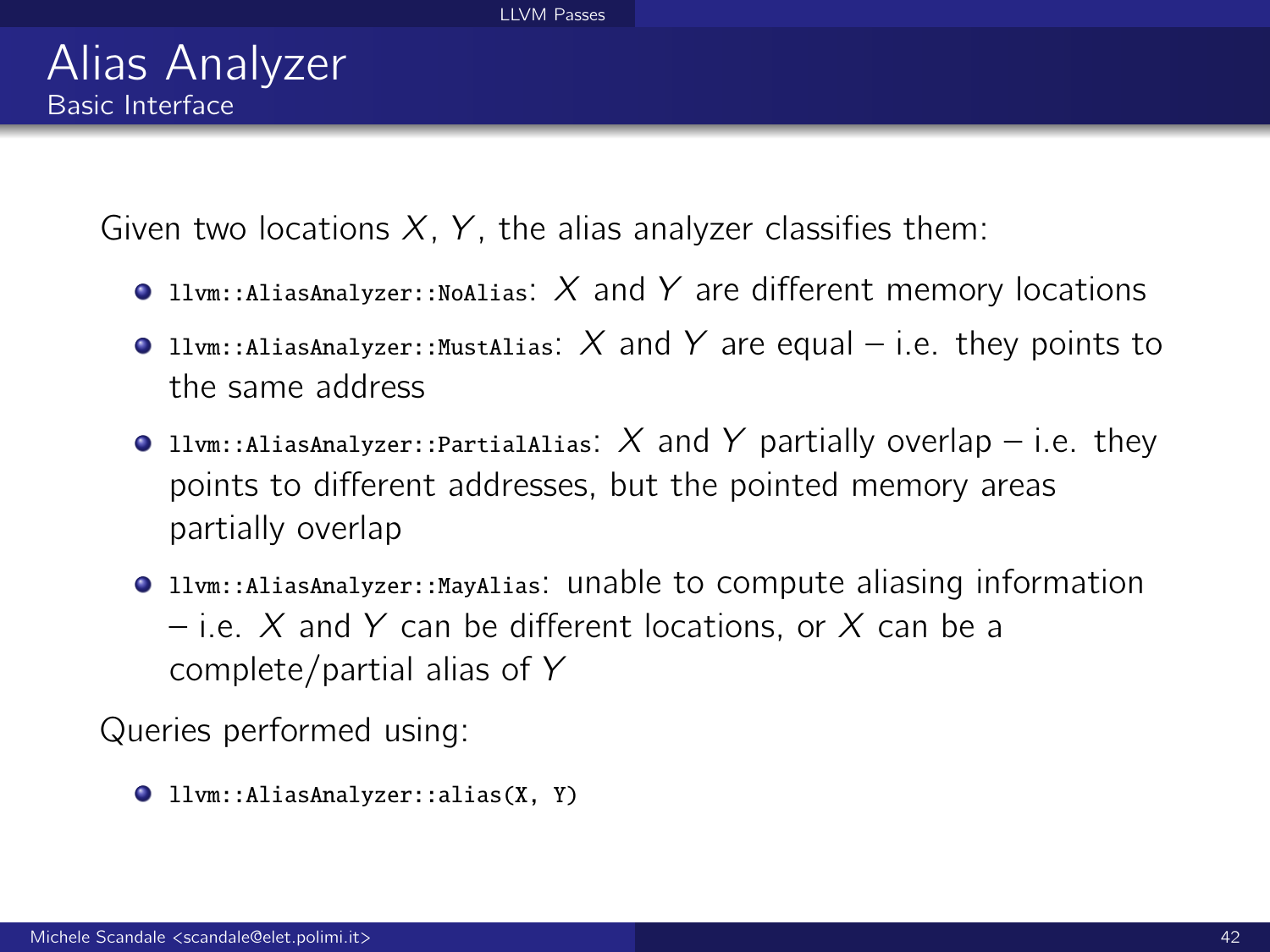Given two locations  $X$ ,  $Y$ , the alias analyzer classifies them:

- **The Illum::AliasAnalyzer::NoAlias:**  $X$  and  $Y$  are different memory locations
- **The light Lum::AliasAnalyzer::MustAlias:** X and Y are equal i.e. they points to the same address
- **O** llvm::AliasAnalyzer::PartialAlias: X and Y partially overlap i.e. they points to different addresses, but the pointed memory areas partially overlap
- llvm::AliasAnalyzer::MayAlias: unable to compute aliasing information – i.e. X and Y can be different locations, or X can be a complete/partial alias of Y

Queries performed using:

llvm::AliasAnalyzer::alias(X, Y)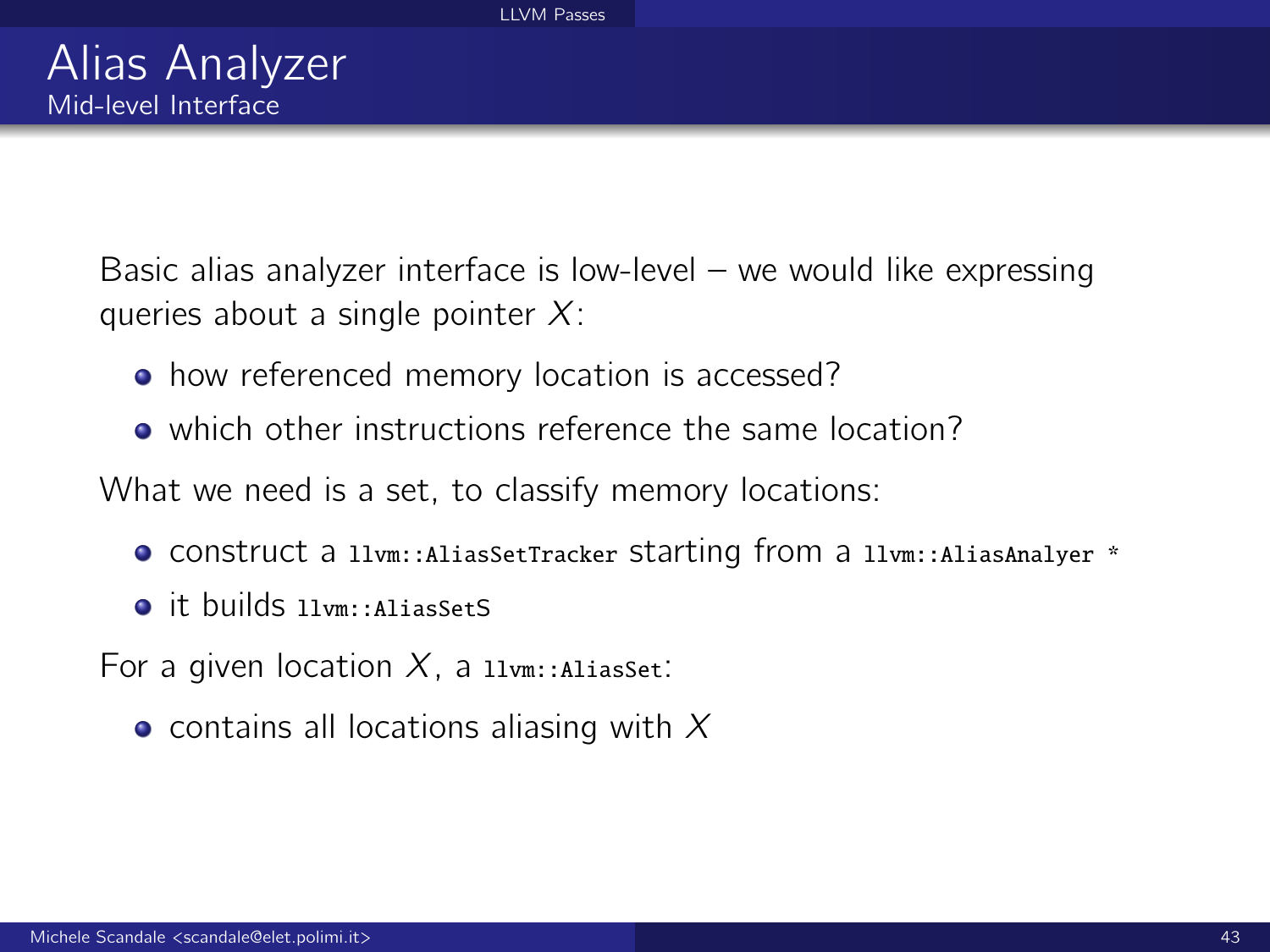Basic alias analyzer interface is low-level – we would like expressing queries about a single pointer  $X$ :

- how referenced memory location is accessed?
- which other instructions reference the same location?

What we need is a set, to classify memory locations:

- construct a llvm::AliasSetTracker starting from a llvm::AliasAnalyer \*
- o it builds llym::AliasSetS
- For a given location  $X$ , a  $11vm:$ AliasSet:
	- contains all locations aliasing with  $X$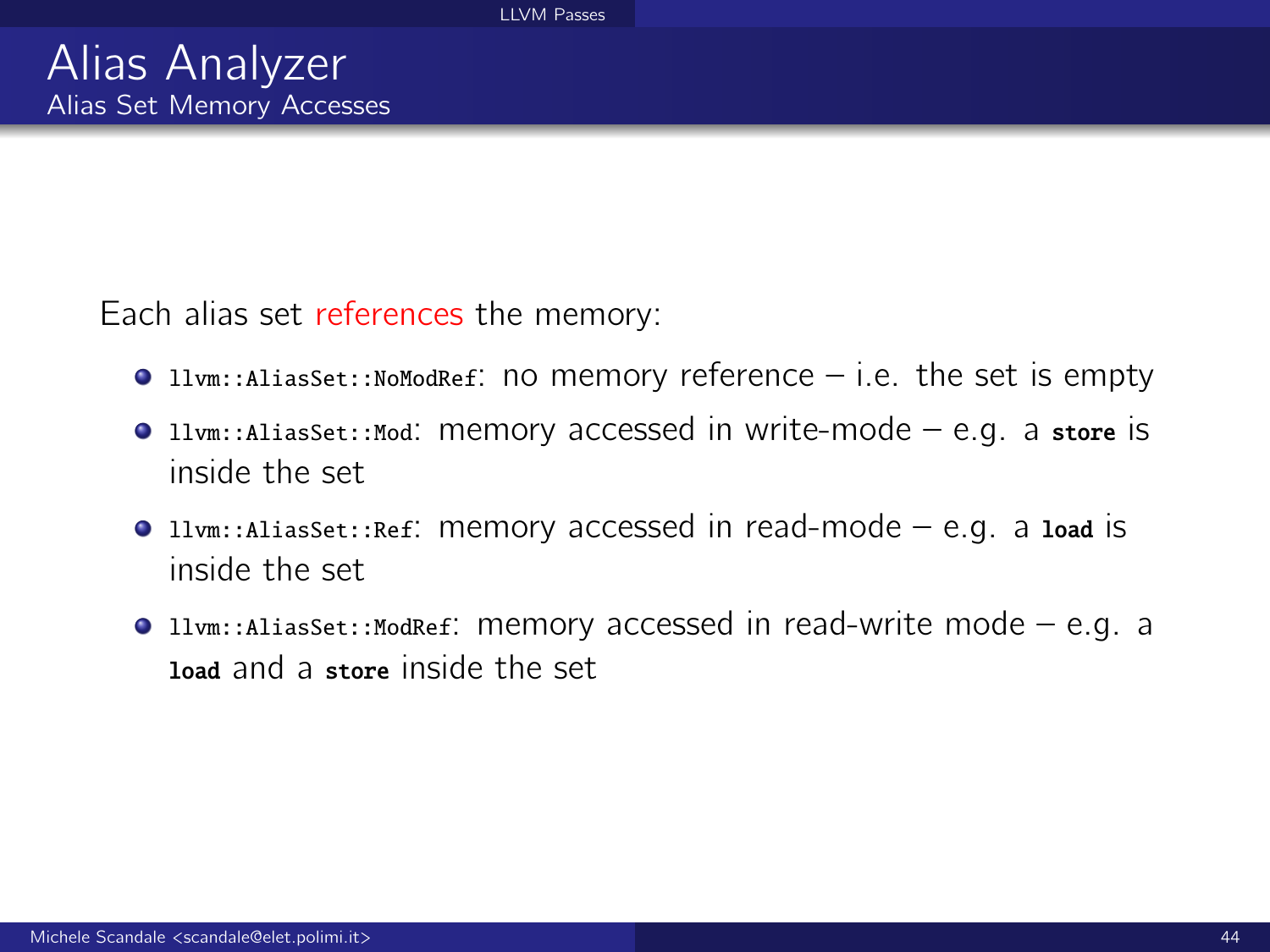Each alias set references the memory:

- $\bullet$  11 $v$ m::AliasSet::NoModRef: no memory reference i.e. the set is empty
- $\bullet$  11vm::AliasSet::Mod: memory accessed in write-mode e.g. a store is inside the set
- $\bullet$  11vm::AliasSet::Ref: memory accessed in read-mode e.g. a load is inside the set
- $\bullet$  11vm::AliasSet::ModRef: memory accessed in read-write mode e.g. a load and a store inside the set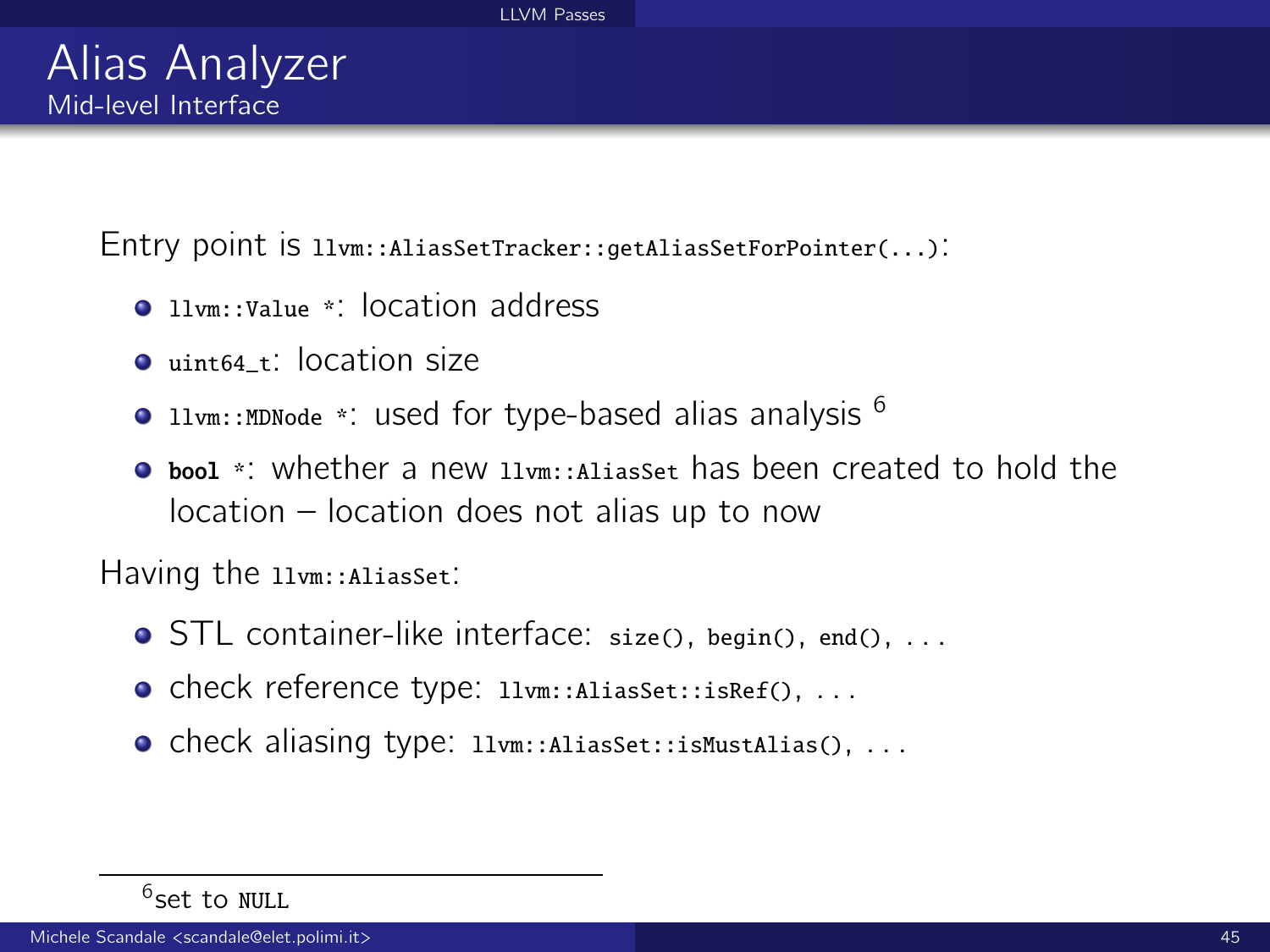Entry point is llvm::AliasSetTracker::getAliasSetForPointer(...):

- **Q** llym::Value \*: location address
- uint64\_t: location size
- **The 11vm::MDNode \*: used for type-based alias analysis**  $^6$
- **C** bool \*: whether a new llym::AliasSet has been created to hold the location – location does not alias up to now

Having the 11vm:: AliasSet:

- **STL** container-like interface: size(), begin(), end(), ...
- **o** check reference type: llvm::AliasSet::isRef(), ...
- **o** check aliasing type: llvm::AliasSet::isMustAlias(), ...

<sup>&</sup>lt;sup>6</sup>set to NULL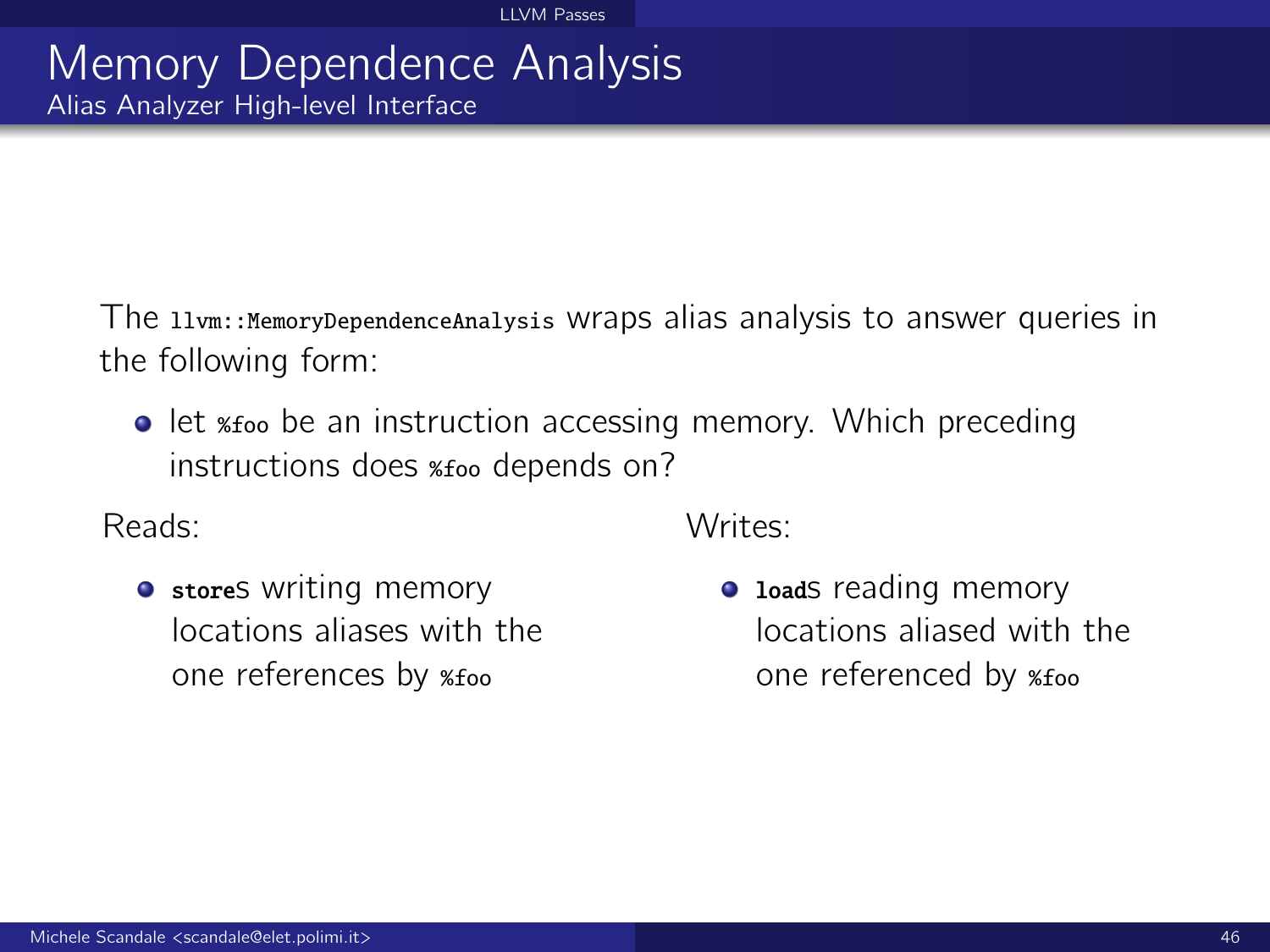### Memory Dependence Analysis Alias Analyzer High-level Interface

The llvm::MemoryDependenceAnalysis wraps alias analysis to answer queries in the following form:

**•** let *xfoo* be an instruction accessing memory. Which preceding instructions does %foo depends on?

Reads:

**•** stores writing memory locations aliases with the one references by %foo

Writes:

• Loads reading memory locations aliased with the one referenced by %foo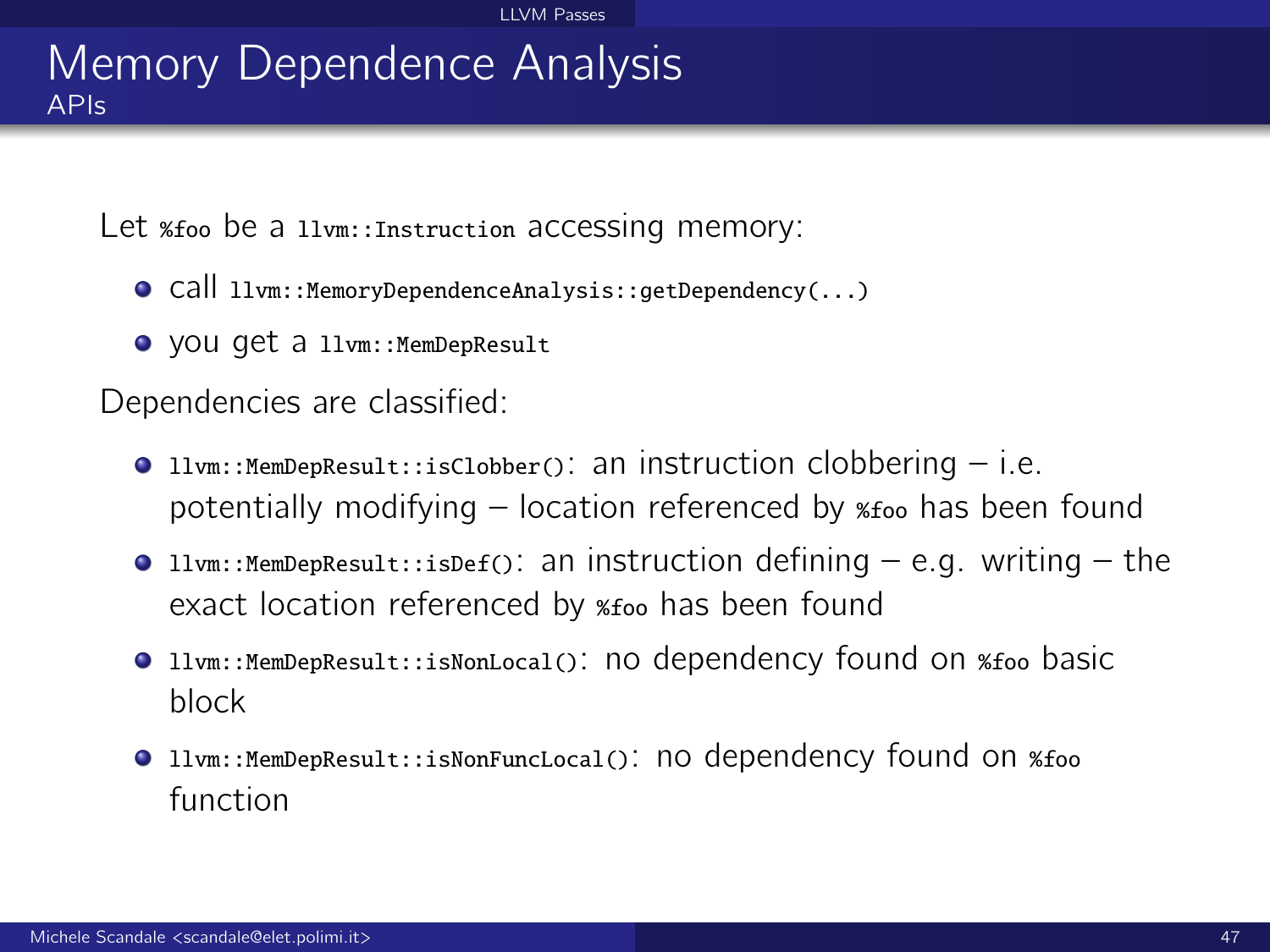### Memory Dependence Analysis APIs

Let *\*foo* be a llvm::Instruction accessing memory:

- call llvm::MemoryDependenceAnalysis::getDependency(...)
- you get a llvm::MemDepResult

Dependencies are classified:

- **The livm::MemDepResult::isClobber(): an instruction clobbering i.e.** potentially modifying – location referenced by %foo has been found
- **Illum::MemDepResult::isDef():** an instruction defining  $-$  e.g. writing  $-$  the exact location referenced by %foo has been found
- **The livm::MemDepResult::isNonLocal(): no dependency found on %foo basic** block
- **O** llvm::MemDepResult::isNonFuncLocal(): NO dependency found on %foo function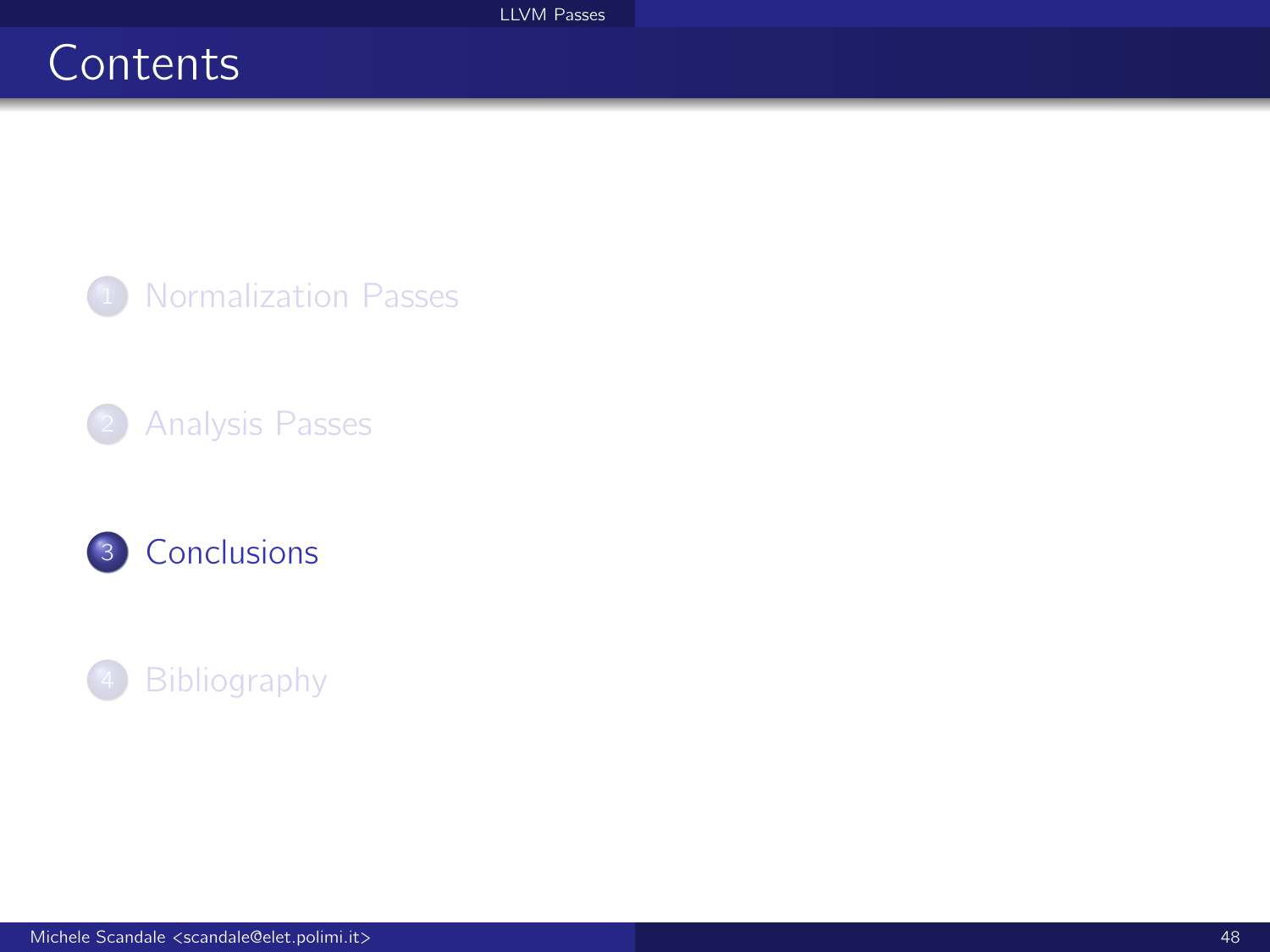# <span id="page-47-0"></span>**Contents**

<sup>1</sup> [Normalization Passes](#page-1-0)

2 [Analysis Passes](#page-19-0)



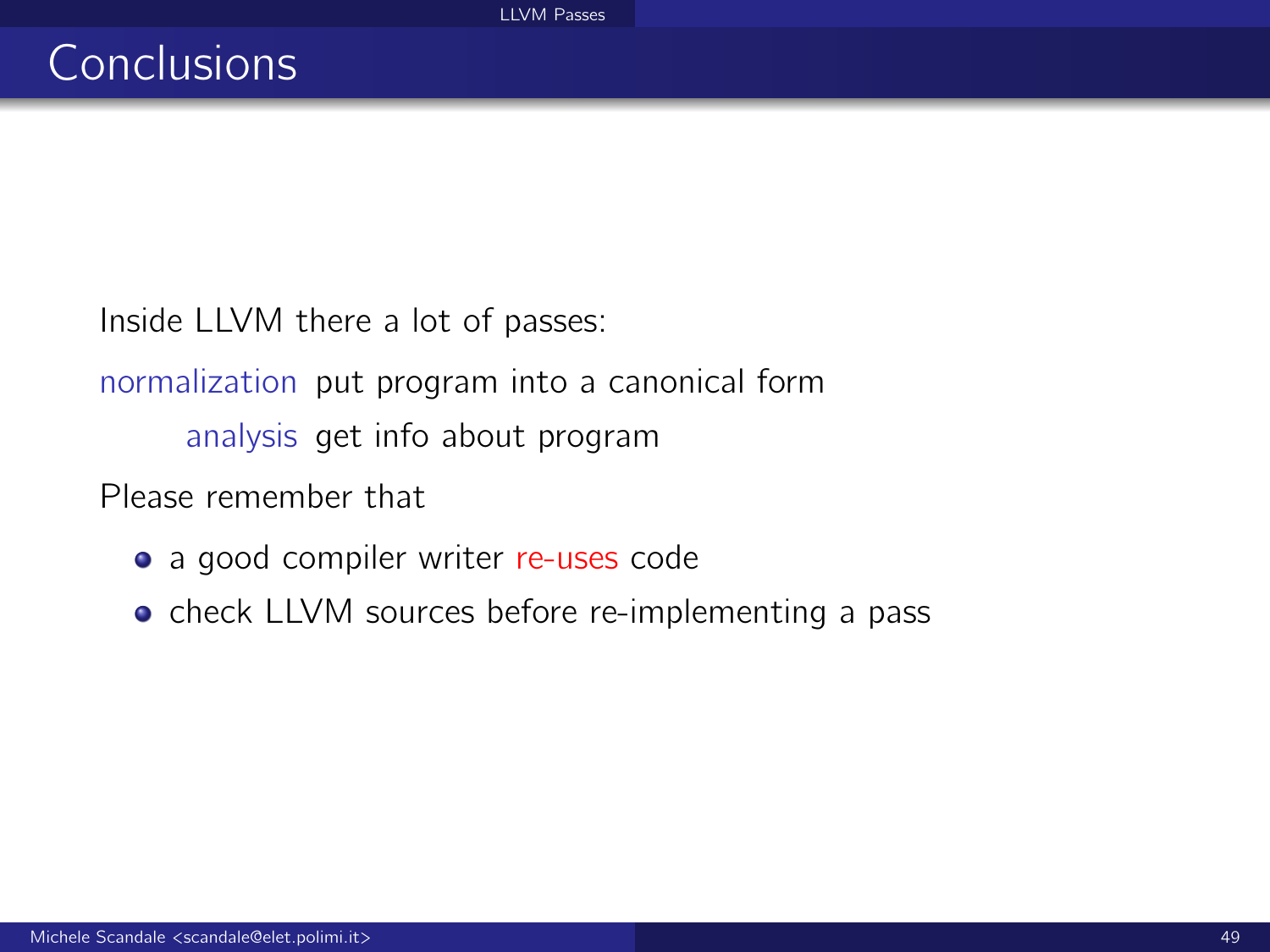Inside LLVM there a lot of passes:

normalization put program into a canonical form analysis get info about program

Please remember that

- a good compiler writer re-uses code
- check LLVM sources before re-implementing a pass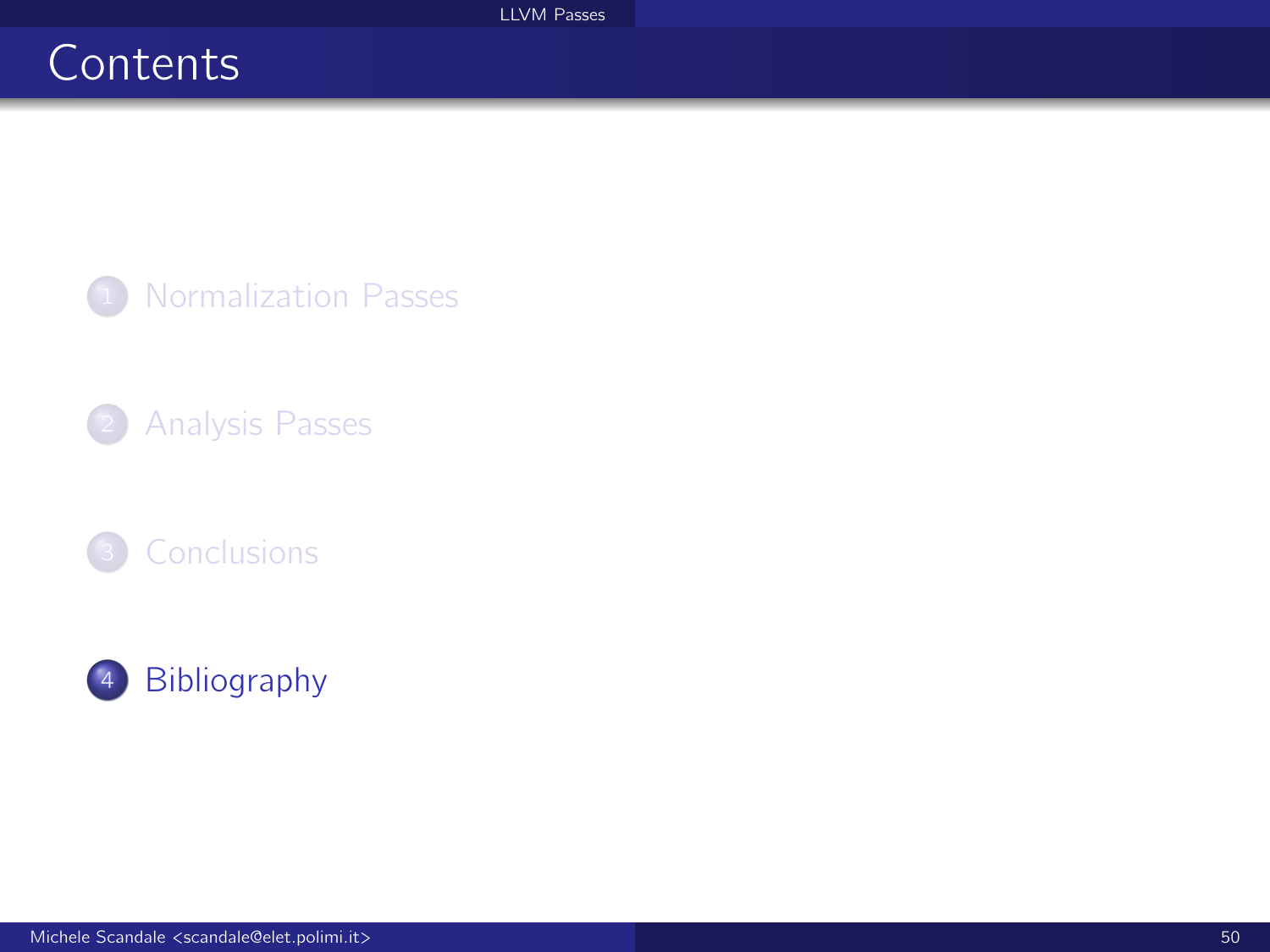# <span id="page-49-0"></span>**Contents**

<sup>1</sup> [Normalization Passes](#page-1-0)

2 [Analysis Passes](#page-19-0)



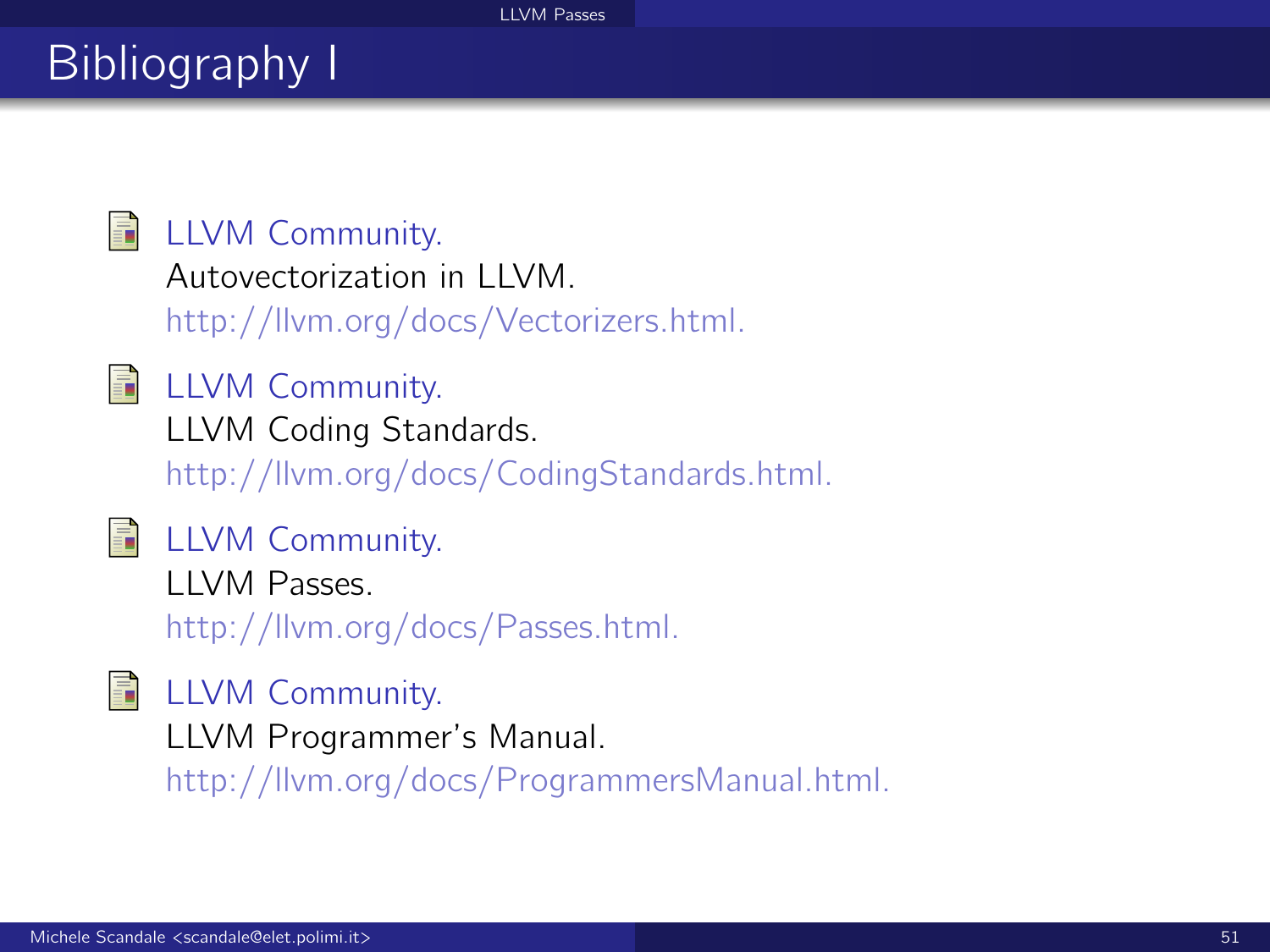# Bibliography I

## **■ LLVM Community.**

```
Autovectorization in LLVM.
```
http://llvm.org/docs/Vectorizers.html.

- 
- **E** LLVM Community.

LLVM Coding Standards.

http://llvm.org/docs/CodingStandards.html.

## **■ LLVM Community.**

LLVM Passes. http://llvm.org/docs/Passes.html.

**E** LLVM Community. LLVM Programmer's Manual. http://llvm.org/docs/ProgrammersManual.html.